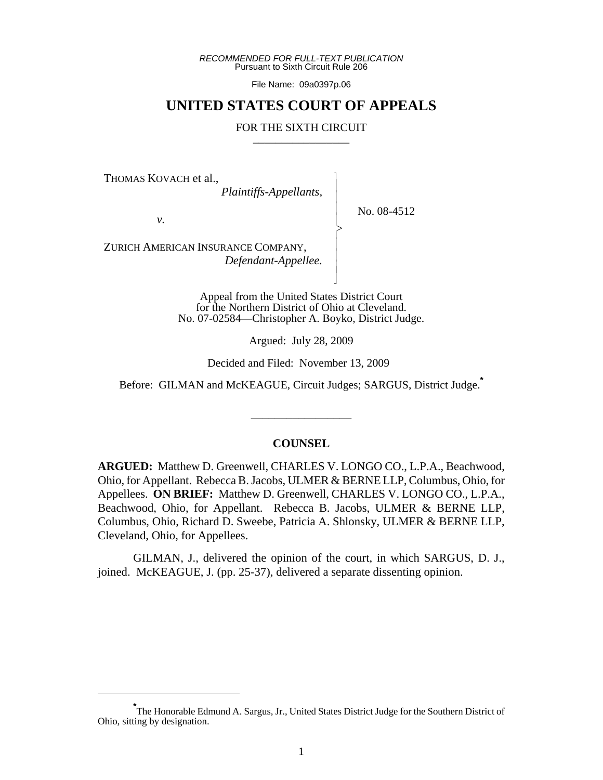*RECOMMENDED FOR FULL-TEXT PUBLICATION* Pursuant to Sixth Circuit Rule 206

File Name: 09a0397p.06

# **UNITED STATES COURT OF APPEALS**

#### FOR THE SIXTH CIRCUIT

 $\overline{\phantom{a}}$ - - - > , - - - N

THOMAS KOVACH et al.,

 *Plaintiffs-Appellants,*

No. 08-4512

*v.*

ZURICH AMERICAN INSURANCE COMPANY,  *Defendant-Appellee.*

> Appeal from the United States District Court for the Northern District of Ohio at Cleveland. No. 07-02584—Christopher A. Boyko, District Judge.

> > Argued: July 28, 2009

Decided and Filed: November 13, 2009

Before: GILMAN and McKEAGUE, Circuit Judges; SARGUS, District Judge.**\***

\_\_\_\_\_\_\_\_\_\_\_\_\_\_\_\_\_

#### **COUNSEL**

**ARGUED:** Matthew D. Greenwell, CHARLES V. LONGO CO., L.P.A., Beachwood, Ohio, for Appellant. Rebecca B. Jacobs, ULMER & BERNE LLP, Columbus, Ohio, for Appellees. **ON BRIEF:** Matthew D. Greenwell, CHARLES V. LONGO CO., L.P.A., Beachwood, Ohio, for Appellant. Rebecca B. Jacobs, ULMER & BERNE LLP, Columbus, Ohio, Richard D. Sweebe, Patricia A. Shlonsky, ULMER & BERNE LLP, Cleveland, Ohio, for Appellees.

GILMAN, J., delivered the opinion of the court, in which SARGUS, D. J., joined. McKEAGUE, J. (pp. 25-37), delivered a separate dissenting opinion.

**<sup>\*</sup>** The Honorable Edmund A. Sargus, Jr., United States District Judge for the Southern District of Ohio, sitting by designation.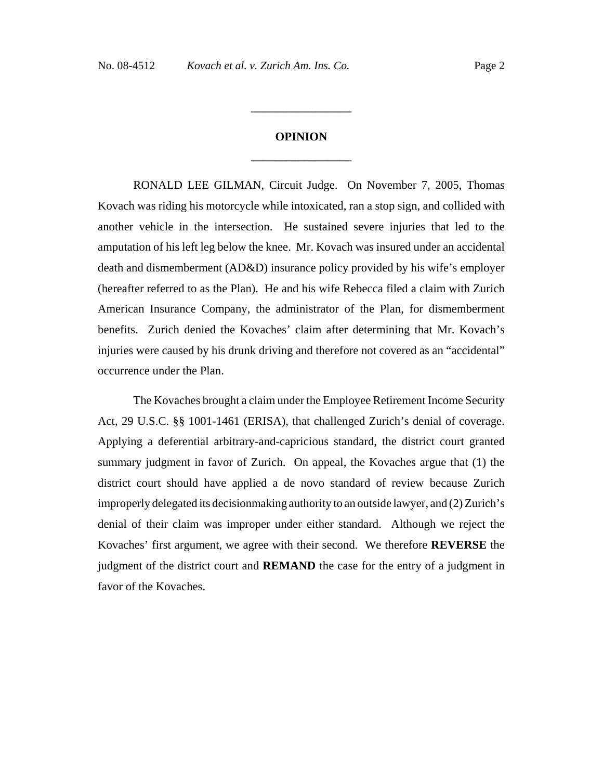# **OPINION \_\_\_\_\_\_\_\_\_\_\_\_\_\_\_\_\_**

**\_\_\_\_\_\_\_\_\_\_\_\_\_\_\_\_\_**

RONALD LEE GILMAN, Circuit Judge. On November 7, 2005, Thomas Kovach was riding his motorcycle while intoxicated, ran a stop sign, and collided with another vehicle in the intersection. He sustained severe injuries that led to the amputation of his left leg below the knee. Mr. Kovach was insured under an accidental death and dismemberment (AD&D) insurance policy provided by his wife's employer (hereafter referred to as the Plan). He and his wife Rebecca filed a claim with Zurich American Insurance Company, the administrator of the Plan, for dismemberment benefits. Zurich denied the Kovaches' claim after determining that Mr. Kovach's injuries were caused by his drunk driving and therefore not covered as an "accidental" occurrence under the Plan.

The Kovaches brought a claim under the Employee Retirement Income Security Act, 29 U.S.C. §§ 1001-1461 (ERISA), that challenged Zurich's denial of coverage. Applying a deferential arbitrary-and-capricious standard, the district court granted summary judgment in favor of Zurich. On appeal, the Kovaches argue that (1) the district court should have applied a de novo standard of review because Zurich improperly delegated its decisionmaking authority to an outside lawyer, and (2) Zurich's denial of their claim was improper under either standard. Although we reject the Kovaches' first argument, we agree with their second. We therefore **REVERSE** the judgment of the district court and **REMAND** the case for the entry of a judgment in favor of the Kovaches.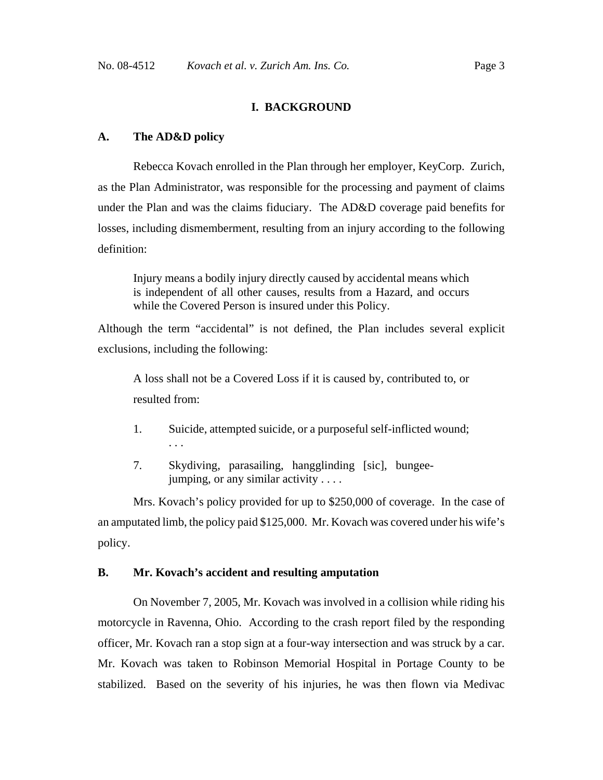# **I. BACKGROUND**

#### **A. The AD&D policy**

Rebecca Kovach enrolled in the Plan through her employer, KeyCorp. Zurich, as the Plan Administrator, was responsible for the processing and payment of claims under the Plan and was the claims fiduciary. The AD&D coverage paid benefits for losses, including dismemberment, resulting from an injury according to the following definition:

Injury means a bodily injury directly caused by accidental means which is independent of all other causes, results from a Hazard, and occurs while the Covered Person is insured under this Policy.

Although the term "accidental" is not defined, the Plan includes several explicit exclusions, including the following:

A loss shall not be a Covered Loss if it is caused by, contributed to, or resulted from:

- 1. Suicide, attempted suicide, or a purposeful self-inflicted wound; . . .
- 7. Skydiving, parasailing, hangglinding [sic], bungeejumping, or any similar activity . . . .

Mrs. Kovach's policy provided for up to \$250,000 of coverage. In the case of an amputated limb, the policy paid \$125,000. Mr. Kovach was covered under his wife's policy.

#### **B. Mr. Kovach's accident and resulting amputation**

On November 7, 2005, Mr. Kovach was involved in a collision while riding his motorcycle in Ravenna, Ohio. According to the crash report filed by the responding officer, Mr. Kovach ran a stop sign at a four-way intersection and was struck by a car. Mr. Kovach was taken to Robinson Memorial Hospital in Portage County to be stabilized. Based on the severity of his injuries, he was then flown via Medivac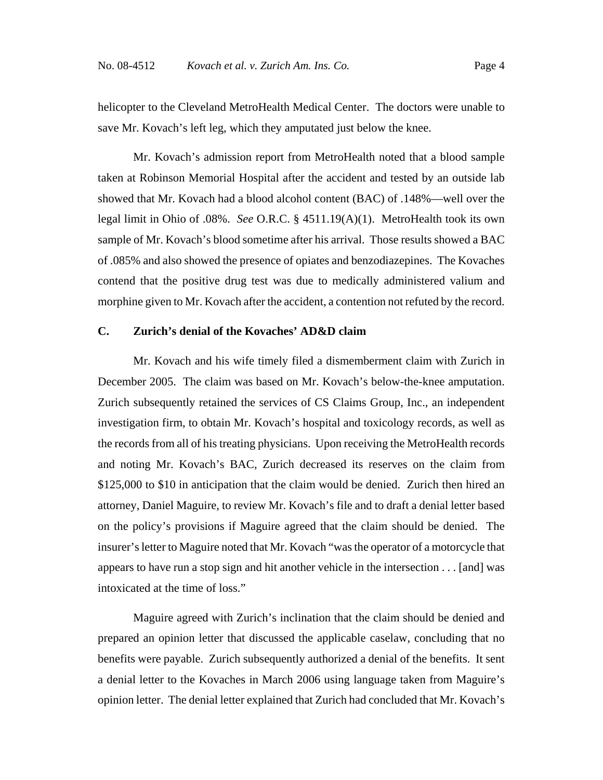helicopter to the Cleveland MetroHealth Medical Center. The doctors were unable to save Mr. Kovach's left leg, which they amputated just below the knee.

Mr. Kovach's admission report from MetroHealth noted that a blood sample taken at Robinson Memorial Hospital after the accident and tested by an outside lab showed that Mr. Kovach had a blood alcohol content (BAC) of .148%—well over the legal limit in Ohio of .08%. *See* O.R.C. § 4511.19(A)(1). MetroHealth took its own sample of Mr. Kovach's blood sometime after his arrival. Those results showed a BAC of .085% and also showed the presence of opiates and benzodiazepines. The Kovaches contend that the positive drug test was due to medically administered valium and morphine given to Mr. Kovach after the accident, a contention not refuted by the record.

# **C. Zurich's denial of the Kovaches' AD&D claim**

Mr. Kovach and his wife timely filed a dismemberment claim with Zurich in December 2005.The claim was based on Mr. Kovach's below-the-knee amputation. Zurich subsequently retained the services of CS Claims Group, Inc., an independent investigation firm, to obtain Mr. Kovach's hospital and toxicology records, as well as the records from all of his treating physicians. Upon receiving the MetroHealth records and noting Mr. Kovach's BAC, Zurich decreased its reserves on the claim from \$125,000 to \$10 in anticipation that the claim would be denied. Zurich then hired an attorney, Daniel Maguire, to review Mr. Kovach's file and to draft a denial letter based on the policy's provisions if Maguire agreed that the claim should be denied. The insurer's letter to Maguire noted that Mr. Kovach "was the operator of a motorcycle that appears to have run a stop sign and hit another vehicle in the intersection . . . [and] was intoxicated at the time of loss."

Maguire agreed with Zurich's inclination that the claim should be denied and prepared an opinion letter that discussed the applicable caselaw, concluding that no benefits were payable. Zurich subsequently authorized a denial of the benefits. It sent a denial letter to the Kovaches in March 2006 using language taken from Maguire's opinion letter. The denial letter explained that Zurich had concluded that Mr. Kovach's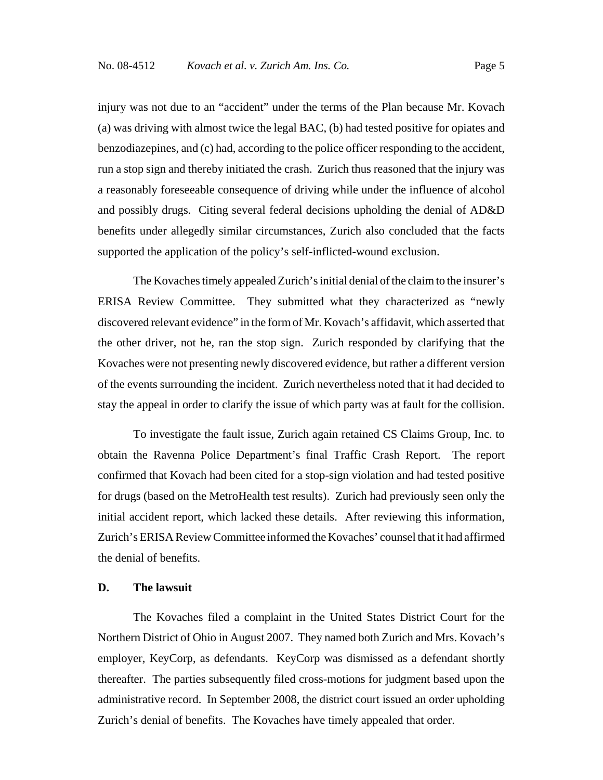injury was not due to an "accident" under the terms of the Plan because Mr. Kovach (a) was driving with almost twice the legal BAC, (b) had tested positive for opiates and benzodiazepines, and (c) had, according to the police officer responding to the accident, run a stop sign and thereby initiated the crash. Zurich thus reasoned that the injury was a reasonably foreseeable consequence of driving while under the influence of alcohol and possibly drugs. Citing several federal decisions upholding the denial of AD&D benefits under allegedly similar circumstances, Zurich also concluded that the facts supported the application of the policy's self-inflicted-wound exclusion.

The Kovaches timely appealed Zurich's initial denial of the claim to the insurer's ERISA Review Committee. They submitted what they characterized as "newly discovered relevant evidence" in the form of Mr. Kovach's affidavit, which asserted that the other driver, not he, ran the stop sign. Zurich responded by clarifying that the Kovaches were not presenting newly discovered evidence, but rather a different version of the events surrounding the incident. Zurich nevertheless noted that it had decided to stay the appeal in order to clarify the issue of which party was at fault for the collision.

To investigate the fault issue, Zurich again retained CS Claims Group, Inc. to obtain the Ravenna Police Department's final Traffic Crash Report. The report confirmed that Kovach had been cited for a stop-sign violation and had tested positive for drugs (based on the MetroHealth test results). Zurich had previously seen only the initial accident report, which lacked these details. After reviewing this information, Zurich's ERISA Review Committee informed the Kovaches' counsel that it had affirmed the denial of benefits.

### **D. The lawsuit**

The Kovaches filed a complaint in the United States District Court for the Northern District of Ohio in August 2007. They named both Zurich and Mrs. Kovach's employer, KeyCorp, as defendants. KeyCorp was dismissed as a defendant shortly thereafter. The parties subsequently filed cross-motions for judgment based upon the administrative record. In September 2008, the district court issued an order upholding Zurich's denial of benefits. The Kovaches have timely appealed that order.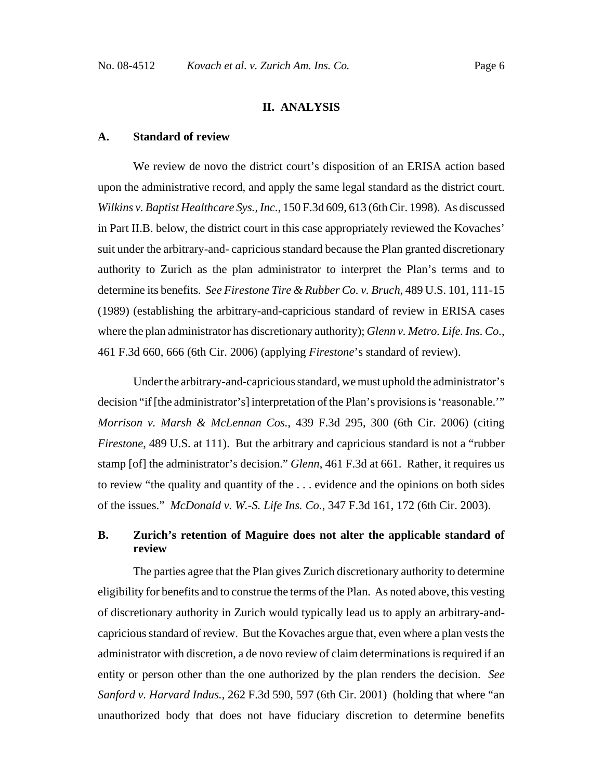# **II. ANALYSIS**

#### **A. Standard of review**

We review de novo the district court's disposition of an ERISA action based upon the administrative record, and apply the same legal standard as the district court. *Wilkins v. Baptist Healthcare Sys., Inc.*, 150 F.3d 609, 613 (6th Cir. 1998). As discussed in Part II.B. below, the district court in this case appropriately reviewed the Kovaches' suit under the arbitrary-and- capricious standard because the Plan granted discretionary authority to Zurich as the plan administrator to interpret the Plan's terms and to determine its benefits. *See Firestone Tire & Rubber Co. v. Bruch*, 489 U.S. 101, 111-15 (1989) (establishing the arbitrary-and-capricious standard of review in ERISA cases where the plan administrator has discretionary authority); *Glenn v. Metro. Life. Ins. Co.*, 461 F.3d 660, 666 (6th Cir. 2006) (applying *Firestone*'s standard of review).

Under the arbitrary-and-capricious standard, we must uphold the administrator's decision "if [the administrator's] interpretation of the Plan's provisions is 'reasonable.'" *Morrison v. Marsh & McLennan Cos.*, 439 F.3d 295, 300 (6th Cir. 2006) (citing *Firestone*, 489 U.S. at 111). But the arbitrary and capricious standard is not a "rubber stamp [of] the administrator's decision." *Glenn*, 461 F.3d at 661. Rather, it requires us to review "the quality and quantity of the . . . evidence and the opinions on both sides of the issues." *McDonald v. W.-S. Life Ins. Co.*, 347 F.3d 161, 172 (6th Cir. 2003).

# **B. Zurich's retention of Maguire does not alter the applicable standard of review**

The parties agree that the Plan gives Zurich discretionary authority to determine eligibility for benefits and to construe the terms of the Plan. As noted above, this vesting of discretionary authority in Zurich would typically lead us to apply an arbitrary-andcapricious standard of review. But the Kovaches argue that, even where a plan vests the administrator with discretion, a de novo review of claim determinations is required if an entity or person other than the one authorized by the plan renders the decision. *See Sanford v. Harvard Indus.*, 262 F.3d 590, 597 (6th Cir. 2001) (holding that where "an unauthorized body that does not have fiduciary discretion to determine benefits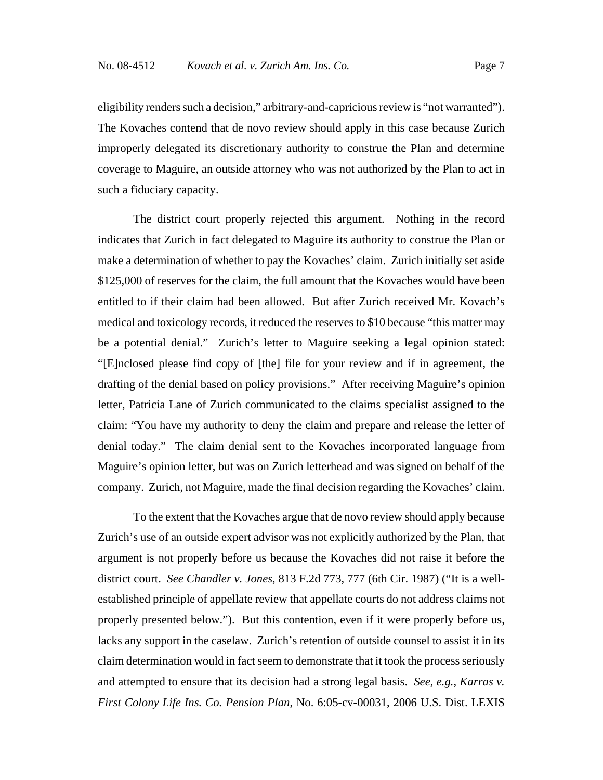eligibility renders such a decision," arbitrary-and-capricious review is "not warranted"). The Kovaches contend that de novo review should apply in this case because Zurich improperly delegated its discretionary authority to construe the Plan and determine coverage to Maguire, an outside attorney who was not authorized by the Plan to act in such a fiduciary capacity.

The district court properly rejected this argument. Nothing in the record indicates that Zurich in fact delegated to Maguire its authority to construe the Plan or make a determination of whether to pay the Kovaches' claim. Zurich initially set aside \$125,000 of reserves for the claim, the full amount that the Kovaches would have been entitled to if their claim had been allowed. But after Zurich received Mr. Kovach's medical and toxicology records, it reduced the reserves to \$10 because "this matter may be a potential denial." Zurich's letter to Maguire seeking a legal opinion stated: "[E]nclosed please find copy of [the] file for your review and if in agreement, the drafting of the denial based on policy provisions." After receiving Maguire's opinion letter, Patricia Lane of Zurich communicated to the claims specialist assigned to the claim: "You have my authority to deny the claim and prepare and release the letter of denial today." The claim denial sent to the Kovaches incorporated language from Maguire's opinion letter, but was on Zurich letterhead and was signed on behalf of the company. Zurich, not Maguire, made the final decision regarding the Kovaches' claim.

To the extent that the Kovaches argue that de novo review should apply because Zurich's use of an outside expert advisor was not explicitly authorized by the Plan, that argument is not properly before us because the Kovaches did not raise it before the district court. *See Chandler v. Jones*, 813 F.2d 773, 777 (6th Cir. 1987) ("It is a wellestablished principle of appellate review that appellate courts do not address claims not properly presented below."). But this contention, even if it were properly before us, lacks any support in the caselaw. Zurich's retention of outside counsel to assist it in its claim determination would in fact seem to demonstrate that it took the process seriously and attempted to ensure that its decision had a strong legal basis. *See, e.g.*, *Karras v. First Colony Life Ins. Co. Pension Plan*, No. 6:05-cv-00031, 2006 U.S. Dist. LEXIS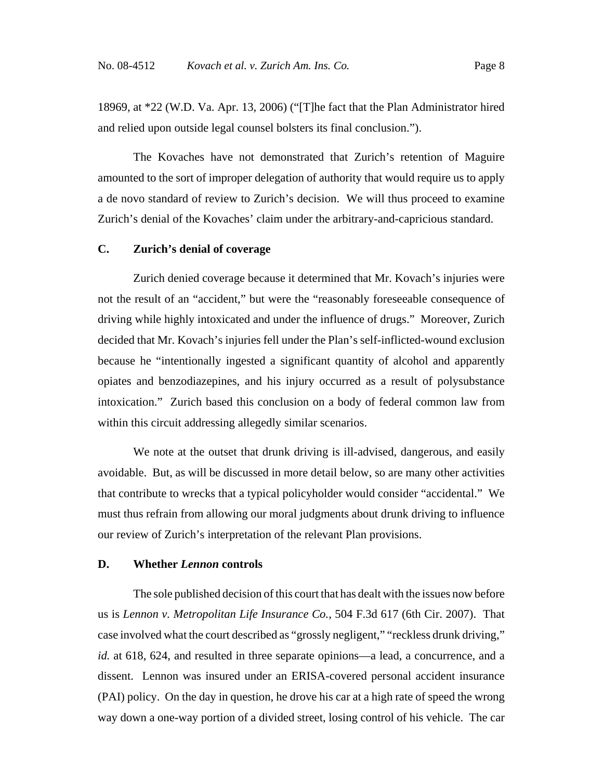18969, at \*22 (W.D. Va. Apr. 13, 2006) ("[T]he fact that the Plan Administrator hired and relied upon outside legal counsel bolsters its final conclusion.").

The Kovaches have not demonstrated that Zurich's retention of Maguire amounted to the sort of improper delegation of authority that would require us to apply a de novo standard of review to Zurich's decision. We will thus proceed to examine Zurich's denial of the Kovaches' claim under the arbitrary-and-capricious standard.

## **C. Zurich's denial of coverage**

Zurich denied coverage because it determined that Mr. Kovach's injuries were not the result of an "accident," but were the "reasonably foreseeable consequence of driving while highly intoxicated and under the influence of drugs." Moreover, Zurich decided that Mr. Kovach's injuries fell under the Plan's self-inflicted-wound exclusion because he "intentionally ingested a significant quantity of alcohol and apparently opiates and benzodiazepines, and his injury occurred as a result of polysubstance intoxication." Zurich based this conclusion on a body of federal common law from within this circuit addressing allegedly similar scenarios.

We note at the outset that drunk driving is ill-advised, dangerous, and easily avoidable. But, as will be discussed in more detail below, so are many other activities that contribute to wrecks that a typical policyholder would consider "accidental." We must thus refrain from allowing our moral judgments about drunk driving to influence our review of Zurich's interpretation of the relevant Plan provisions.

#### **D. Whether** *Lennon* **controls**

The sole published decision of this court that has dealt with the issues now before us is *Lennon v. Metropolitan Life Insurance Co.*, 504 F.3d 617 (6th Cir. 2007). That case involved what the court described as "grossly negligent," "reckless drunk driving," *id.* at 618, 624, and resulted in three separate opinions—a lead, a concurrence, and a dissent. Lennon was insured under an ERISA-covered personal accident insurance (PAI) policy. On the day in question, he drove his car at a high rate of speed the wrong way down a one-way portion of a divided street, losing control of his vehicle. The car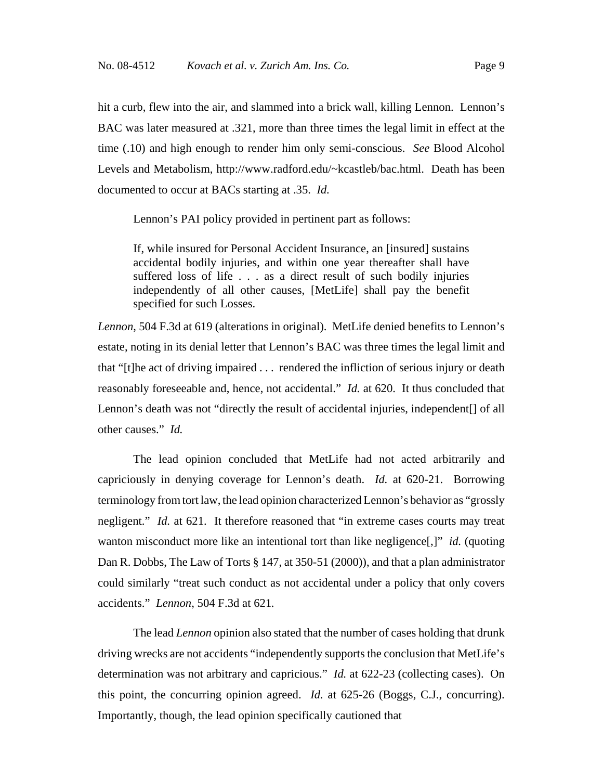hit a curb, flew into the air, and slammed into a brick wall, killing Lennon. Lennon's BAC was later measured at .321, more than three times the legal limit in effect at the time (.10) and high enough to render him only semi-conscious. *See* Blood Alcohol Levels and Metabolism, http://www.radford.edu/~kcastleb/bac.html. Death has been documented to occur at BACs starting at .35. *Id.*

Lennon's PAI policy provided in pertinent part as follows:

If, while insured for Personal Accident Insurance, an [insured] sustains accidental bodily injuries, and within one year thereafter shall have suffered loss of life . . . as a direct result of such bodily injuries independently of all other causes, [MetLife] shall pay the benefit specified for such Losses.

*Lennon*, 504 F.3d at 619 (alterations in original). MetLife denied benefits to Lennon's estate, noting in its denial letter that Lennon's BAC was three times the legal limit and that "[t]he act of driving impaired . . . rendered the infliction of serious injury or death reasonably foreseeable and, hence, not accidental." *Id.* at 620. It thus concluded that Lennon's death was not "directly the result of accidental injuries, independent[] of all other causes." *Id.* 

The lead opinion concluded that MetLife had not acted arbitrarily and capriciously in denying coverage for Lennon's death. *Id.* at 620-21. Borrowing terminology from tort law, the lead opinion characterized Lennon's behavior as "grossly negligent." *Id.* at 621. It therefore reasoned that "in extreme cases courts may treat wanton misconduct more like an intentional tort than like negligence<sup>[1]</sup>, *id.* (quoting Dan R. Dobbs, The Law of Torts § 147, at 350-51 (2000)), and that a plan administrator could similarly "treat such conduct as not accidental under a policy that only covers accidents." *Lennon*, 504 F.3d at 621*.*

The lead *Lennon* opinion also stated that the number of cases holding that drunk driving wrecks are not accidents "independently supports the conclusion that MetLife's determination was not arbitrary and capricious." *Id.* at 622-23 (collecting cases). On this point, the concurring opinion agreed. *Id.* at 625-26 (Boggs, C.J., concurring). Importantly, though, the lead opinion specifically cautioned that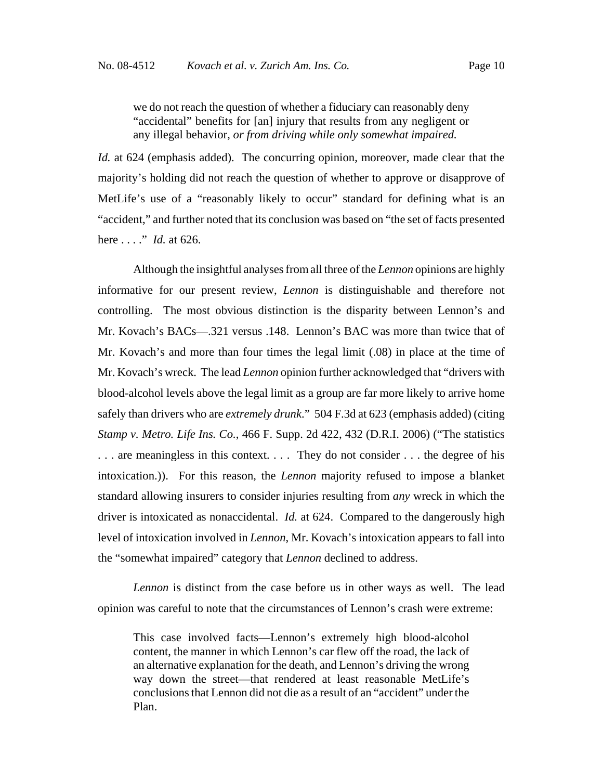we do not reach the question of whether a fiduciary can reasonably deny "accidental" benefits for [an] injury that results from any negligent or any illegal behavior, *or from driving while only somewhat impaired.*

*Id.* at 624 (emphasis added). The concurring opinion, moreover, made clear that the majority's holding did not reach the question of whether to approve or disapprove of MetLife's use of a "reasonably likely to occur" standard for defining what is an "accident," and further noted that its conclusion was based on "the set of facts presented here . . . ." *Id.* at 626.

Although the insightful analyses from all three of the *Lennon* opinions are highly informative for our present review, *Lennon* is distinguishable and therefore not controlling. The most obvious distinction is the disparity between Lennon's and Mr. Kovach's BACs—.321 versus .148. Lennon's BAC was more than twice that of Mr. Kovach's and more than four times the legal limit (.08) in place at the time of Mr. Kovach's wreck. The lead *Lennon* opinion further acknowledged that "drivers with blood-alcohol levels above the legal limit as a group are far more likely to arrive home safely than drivers who are *extremely drunk*." 504 F.3d at 623 (emphasis added) (citing *Stamp v. Metro. Life Ins. Co.*, 466 F. Supp. 2d 422, 432 (D.R.I. 2006) ("The statistics . . . are meaningless in this context. . . . They do not consider . . . the degree of his intoxication.)). For this reason, the *Lennon* majority refused to impose a blanket standard allowing insurers to consider injuries resulting from *any* wreck in which the driver is intoxicated as nonaccidental. *Id.* at 624. Compared to the dangerously high level of intoxication involved in *Lennon*, Mr. Kovach's intoxication appears to fall into the "somewhat impaired" category that *Lennon* declined to address.

*Lennon* is distinct from the case before us in other ways as well. The lead opinion was careful to note that the circumstances of Lennon's crash were extreme:

This case involved facts—Lennon's extremely high blood-alcohol content, the manner in which Lennon's car flew off the road, the lack of an alternative explanation for the death, and Lennon's driving the wrong way down the street—that rendered at least reasonable MetLife's conclusions that Lennon did not die as a result of an "accident" under the Plan.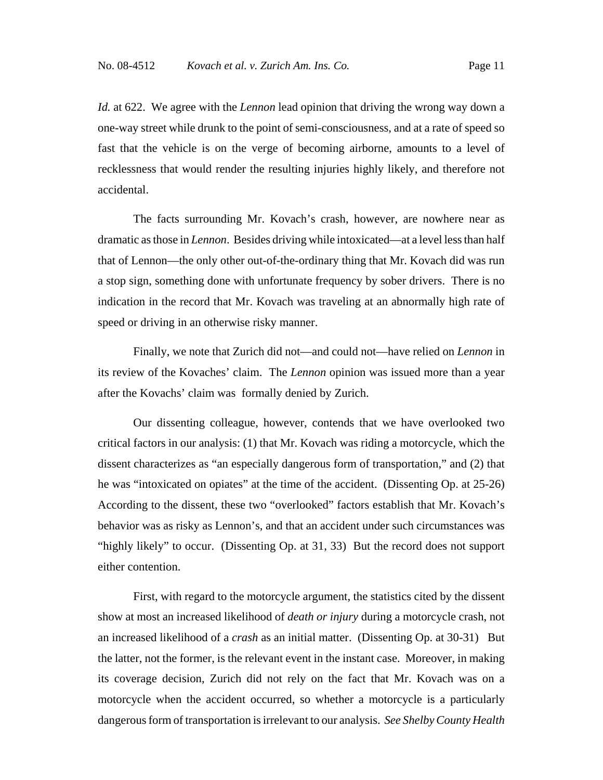*Id.* at 622. We agree with the *Lennon* lead opinion that driving the wrong way down a one-way street while drunk to the point of semi-consciousness, and at a rate of speed so fast that the vehicle is on the verge of becoming airborne, amounts to a level of recklessness that would render the resulting injuries highly likely, and therefore not accidental.

The facts surrounding Mr. Kovach's crash, however, are nowhere near as dramatic as those in *Lennon*. Besides driving while intoxicated—at a level less than half that of Lennon—the only other out-of-the-ordinary thing that Mr. Kovach did was run a stop sign, something done with unfortunate frequency by sober drivers. There is no indication in the record that Mr. Kovach was traveling at an abnormally high rate of speed or driving in an otherwise risky manner.

Finally, we note that Zurich did not—and could not—have relied on *Lennon* in its review of the Kovaches' claim. The *Lennon* opinion was issued more than a year after the Kovachs' claim was formally denied by Zurich.

Our dissenting colleague, however, contends that we have overlooked two critical factors in our analysis: (1) that Mr. Kovach was riding a motorcycle, which the dissent characterizes as "an especially dangerous form of transportation," and (2) that he was "intoxicated on opiates" at the time of the accident. (Dissenting Op. at 25-26) According to the dissent, these two "overlooked" factors establish that Mr. Kovach's behavior was as risky as Lennon's, and that an accident under such circumstances was "highly likely" to occur. (Dissenting Op. at 31, 33) But the record does not support either contention.

First, with regard to the motorcycle argument, the statistics cited by the dissent show at most an increased likelihood of *death or injury* during a motorcycle crash, not an increased likelihood of a *crash* as an initial matter. (Dissenting Op. at 30-31) But the latter, not the former, is the relevant event in the instant case. Moreover, in making its coverage decision, Zurich did not rely on the fact that Mr. Kovach was on a motorcycle when the accident occurred, so whether a motorcycle is a particularly dangerous form of transportation is irrelevant to our analysis. *See Shelby County Health*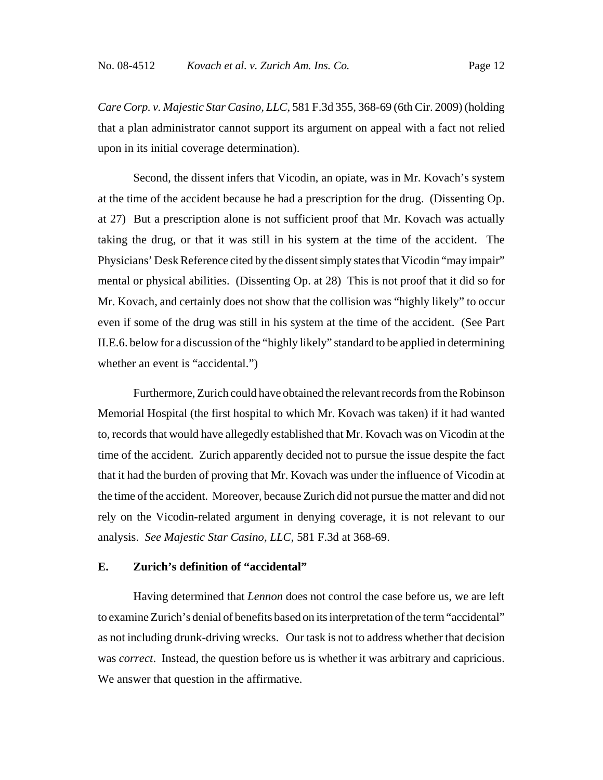*Care Corp. v. Majestic Star Casino, LLC*, 581 F.3d 355, 368-69 (6th Cir. 2009) (holding that a plan administrator cannot support its argument on appeal with a fact not relied upon in its initial coverage determination).

Second, the dissent infers that Vicodin, an opiate, was in Mr. Kovach's system at the time of the accident because he had a prescription for the drug. (Dissenting Op. at 27) But a prescription alone is not sufficient proof that Mr. Kovach was actually taking the drug, or that it was still in his system at the time of the accident. The Physicians' Desk Reference cited by the dissent simply states that Vicodin "may impair" mental or physical abilities. (Dissenting Op. at 28) This is not proof that it did so for Mr. Kovach, and certainly does not show that the collision was "highly likely" to occur even if some of the drug was still in his system at the time of the accident. (See Part II.E.6. below for a discussion of the "highly likely" standard to be applied in determining whether an event is "accidental.")

Furthermore, Zurich could have obtained the relevant records from the Robinson Memorial Hospital (the first hospital to which Mr. Kovach was taken) if it had wanted to, records that would have allegedly established that Mr. Kovach was on Vicodin at the time of the accident. Zurich apparently decided not to pursue the issue despite the fact that it had the burden of proving that Mr. Kovach was under the influence of Vicodin at the time of the accident. Moreover, because Zurich did not pursue the matter and did not rely on the Vicodin-related argument in denying coverage, it is not relevant to our analysis. *See Majestic Star Casino, LLC*, 581 F.3d at 368-69.

## **E. Zurich's definition of "accidental"**

Having determined that *Lennon* does not control the case before us, we are left to examine Zurich's denial of benefits based on its interpretation of the term "accidental" as not including drunk-driving wrecks. Our task is not to address whether that decision was *correct*. Instead, the question before us is whether it was arbitrary and capricious. We answer that question in the affirmative.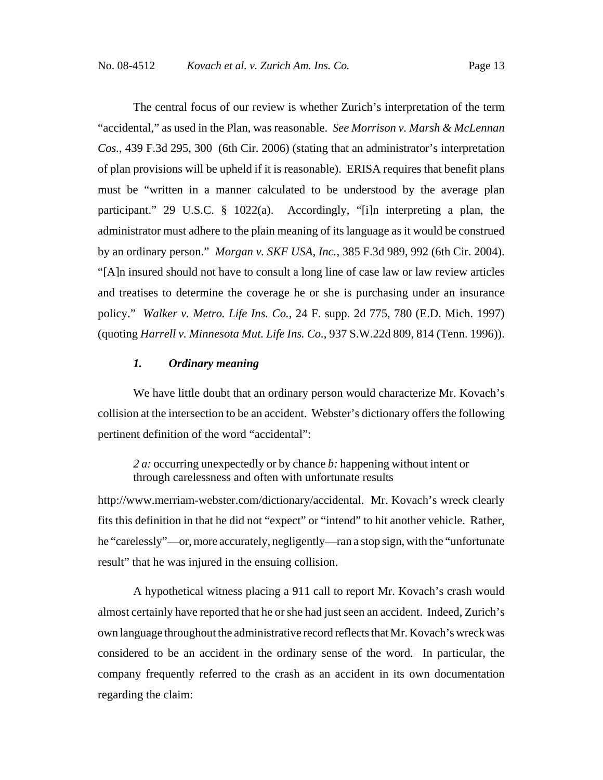The central focus of our review is whether Zurich's interpretation of the term "accidental," as used in the Plan, was reasonable. *See Morrison v. Marsh & McLennan Cos.*, 439 F.3d 295, 300 (6th Cir. 2006) (stating that an administrator's interpretation of plan provisions will be upheld if it is reasonable). ERISA requires that benefit plans must be "written in a manner calculated to be understood by the average plan participant." 29 U.S.C. § 1022(a). Accordingly, "[i]n interpreting a plan, the administrator must adhere to the plain meaning of its language as it would be construed by an ordinary person." *Morgan v. SKF USA, Inc.*, 385 F.3d 989, 992 (6th Cir. 2004). "[A]n insured should not have to consult a long line of case law or law review articles and treatises to determine the coverage he or she is purchasing under an insurance policy." *Walker v. Metro. Life Ins. Co.*, 24 F. supp. 2d 775, 780 (E.D. Mich. 1997) (quoting *Harrell v. Minnesota Mut. Life Ins. Co.*, 937 S.W.22d 809, 814 (Tenn. 1996)).

# *1. Ordinary meaning*

We have little doubt that an ordinary person would characterize Mr. Kovach's collision at the intersection to be an accident. Webster's dictionary offers the following pertinent definition of the word "accidental":

*2 a:* occurring unexpectedly or by chance *b:* happening without intent or through carelessness and often with unfortunate results

http://www.merriam-webster.com/dictionary/accidental. Mr. Kovach's wreck clearly fits this definition in that he did not "expect" or "intend" to hit another vehicle. Rather, he "carelessly"—or, more accurately, negligently—ran a stop sign, with the "unfortunate result" that he was injured in the ensuing collision.

A hypothetical witness placing a 911 call to report Mr. Kovach's crash would almost certainly have reported that he or she had just seen an accident. Indeed, Zurich's own language throughout the administrative record reflects that Mr. Kovach's wreck was considered to be an accident in the ordinary sense of the word. In particular, the company frequently referred to the crash as an accident in its own documentation regarding the claim: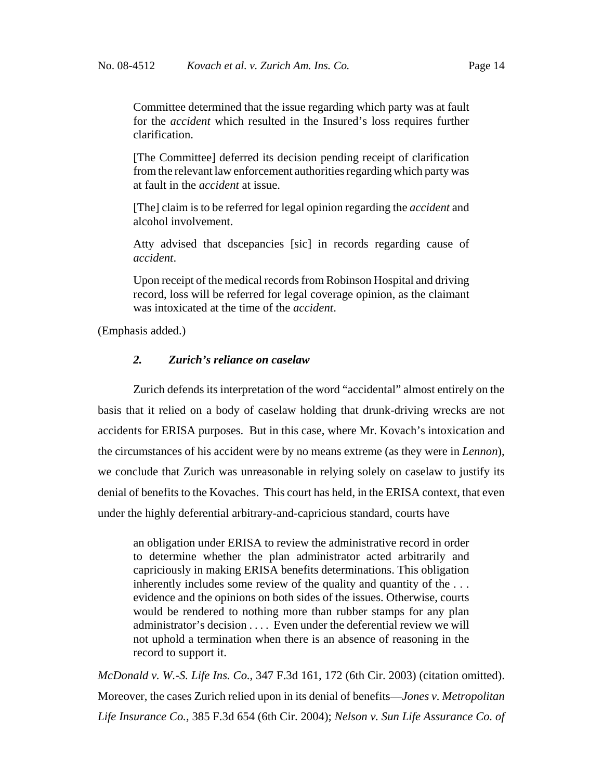Committee determined that the issue regarding which party was at fault for the *accident* which resulted in the Insured's loss requires further clarification.

[The Committee] deferred its decision pending receipt of clarification from the relevant law enforcement authorities regarding which party was at fault in the *accident* at issue.

[The] claim is to be referred for legal opinion regarding the *accident* and alcohol involvement.

Atty advised that dscepancies [sic] in records regarding cause of *accident*.

Upon receipt of the medical records from Robinson Hospital and driving record, loss will be referred for legal coverage opinion, as the claimant was intoxicated at the time of the *accident*.

(Emphasis added.)

#### *2. Zurich's reliance on caselaw*

Zurich defends its interpretation of the word "accidental" almost entirely on the basis that it relied on a body of caselaw holding that drunk-driving wrecks are not accidents for ERISA purposes. But in this case, where Mr. Kovach's intoxication and the circumstances of his accident were by no means extreme (as they were in *Lennon*), we conclude that Zurich was unreasonable in relying solely on caselaw to justify its denial of benefits to the Kovaches. This court has held, in the ERISA context, that even under the highly deferential arbitrary-and-capricious standard, courts have

an obligation under ERISA to review the administrative record in order to determine whether the plan administrator acted arbitrarily and capriciously in making ERISA benefits determinations. This obligation inherently includes some review of the quality and quantity of the . . . evidence and the opinions on both sides of the issues. Otherwise, courts would be rendered to nothing more than rubber stamps for any plan administrator's decision . . . . Even under the deferential review we will not uphold a termination when there is an absence of reasoning in the record to support it.

*McDonald v. W.-S. Life Ins. Co.*, 347 F.3d 161, 172 (6th Cir. 2003) (citation omitted). Moreover, the cases Zurich relied upon in its denial of benefits—*Jones v. Metropolitan Life Insurance Co.,* 385 F.3d 654 (6th Cir. 2004); *Nelson v. Sun Life Assurance Co. of*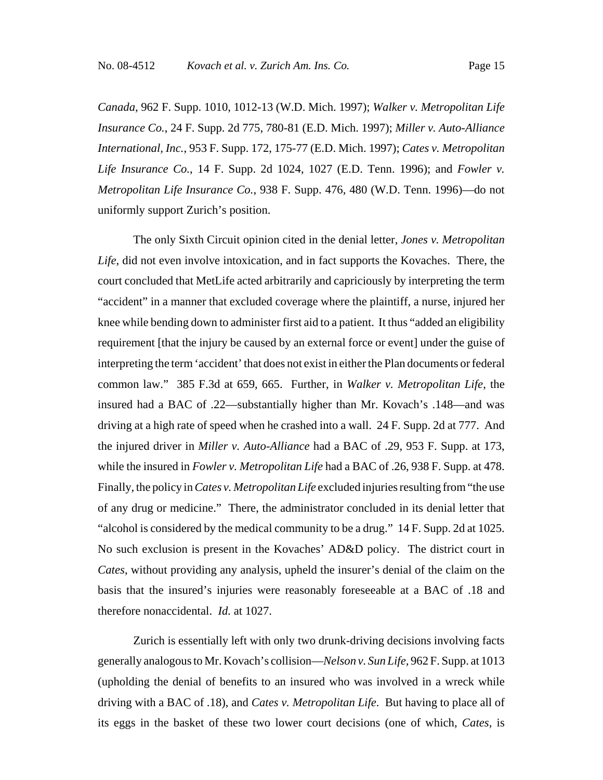*Canada*, 962 F. Supp. 1010, 1012-13 (W.D. Mich. 1997); *Walker v. Metropolitan Life Insurance Co.*, 24 F. Supp. 2d 775, 780-81 (E.D. Mich. 1997); *Miller v. Auto-Alliance International, Inc.*, 953 F. Supp. 172, 175-77 (E.D. Mich. 1997); *Cates v. Metropolitan Life Insurance Co.*, 14 F. Supp. 2d 1024, 1027 (E.D. Tenn. 1996); and *Fowler v. Metropolitan Life Insurance Co.*, 938 F. Supp. 476, 480 (W.D. Tenn. 1996)—do not uniformly support Zurich's position.

The only Sixth Circuit opinion cited in the denial letter, *Jones v. Metropolitan Life*, did not even involve intoxication, and in fact supports the Kovaches. There, the court concluded that MetLife acted arbitrarily and capriciously by interpreting the term "accident" in a manner that excluded coverage where the plaintiff, a nurse, injured her knee while bending down to administer first aid to a patient. It thus "added an eligibility requirement [that the injury be caused by an external force or event] under the guise of interpreting the term 'accident' that does not exist in either the Plan documents or federal common law." 385 F.3d at 659, 665. Further, in *Walker v. Metropolitan Life*, the insured had a BAC of .22—substantially higher than Mr. Kovach's .148—and was driving at a high rate of speed when he crashed into a wall. 24 F. Supp. 2d at 777. And the injured driver in *Miller v. Auto-Alliance* had a BAC of .29, 953 F. Supp. at 173, while the insured in *Fowler v. Metropolitan Life* had a BAC of .26, 938 F. Supp. at 478. Finally, the policy in *Cates v. Metropolitan Life* excluded injuries resulting from "the use of any drug or medicine." There, the administrator concluded in its denial letter that "alcohol is considered by the medical community to be a drug." 14 F. Supp. 2d at 1025. No such exclusion is present in the Kovaches' AD&D policy. The district court in *Cates*, without providing any analysis, upheld the insurer's denial of the claim on the basis that the insured's injuries were reasonably foreseeable at a BAC of .18 and therefore nonaccidental. *Id.* at 1027.

Zurich is essentially left with only two drunk-driving decisions involving facts generally analogous to Mr. Kovach's collision—*Nelson v. Sun Life,* 962 F. Supp. at 1013 (upholding the denial of benefits to an insured who was involved in a wreck while driving with a BAC of .18), and *Cates v. Metropolitan Life*. But having to place all of its eggs in the basket of these two lower court decisions (one of which, *Cates,* is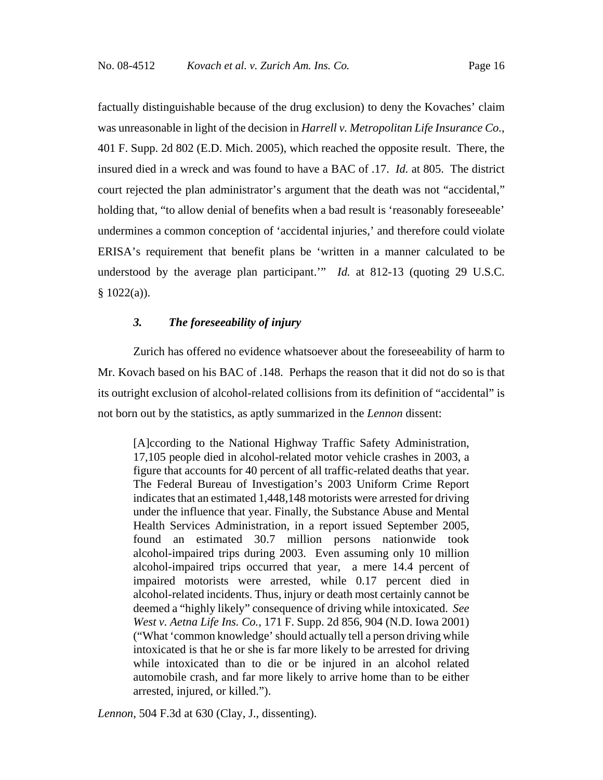factually distinguishable because of the drug exclusion) to deny the Kovaches' claim was unreasonable in light of the decision in *Harrell v. Metropolitan Life Insurance Co.*, 401 F. Supp. 2d 802 (E.D. Mich. 2005), which reached the opposite result. There, the insured died in a wreck and was found to have a BAC of .17. *Id.* at 805. The district court rejected the plan administrator's argument that the death was not "accidental," holding that, "to allow denial of benefits when a bad result is 'reasonably foreseeable' undermines a common conception of 'accidental injuries,' and therefore could violate ERISA's requirement that benefit plans be 'written in a manner calculated to be understood by the average plan participant.'" *Id.* at 812-13 (quoting 29 U.S.C.  $§ 1022(a)$ ).

## *3. The foreseeability of injury*

Zurich has offered no evidence whatsoever about the foreseeability of harm to Mr. Kovach based on his BAC of .148. Perhaps the reason that it did not do so is that its outright exclusion of alcohol-related collisions from its definition of "accidental" is not born out by the statistics, as aptly summarized in the *Lennon* dissent:

[A]ccording to the National Highway Traffic Safety Administration, 17,105 people died in alcohol-related motor vehicle crashes in 2003, a figure that accounts for 40 percent of all traffic-related deaths that year. The Federal Bureau of Investigation's 2003 Uniform Crime Report indicates that an estimated 1,448,148 motorists were arrested for driving under the influence that year. Finally, the Substance Abuse and Mental Health Services Administration, in a report issued September 2005, found an estimated 30.7 million persons nationwide took alcohol-impaired trips during 2003. Even assuming only 10 million alcohol-impaired trips occurred that year, a mere 14.4 percent of impaired motorists were arrested, while 0.17 percent died in alcohol-related incidents. Thus, injury or death most certainly cannot be deemed a "highly likely" consequence of driving while intoxicated. *See West v. Aetna Life Ins. Co.*, 171 F. Supp. 2d 856, 904 (N.D. Iowa 2001) ("What 'common knowledge' should actually tell a person driving while intoxicated is that he or she is far more likely to be arrested for driving while intoxicated than to die or be injured in an alcohol related automobile crash, and far more likely to arrive home than to be either arrested, injured, or killed.").

*Lennon*, 504 F.3d at 630 (Clay, J., dissenting).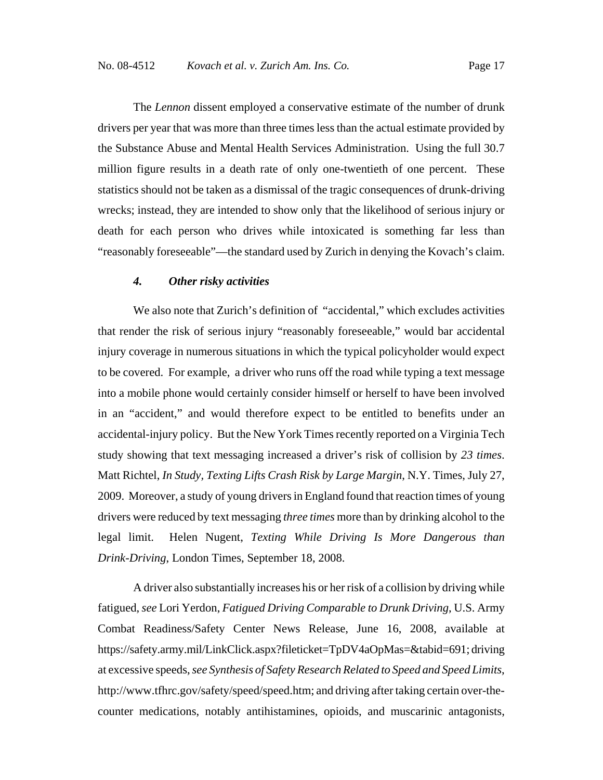The *Lennon* dissent employed a conservative estimate of the number of drunk drivers per year that was more than three times less than the actual estimate provided by the Substance Abuse and Mental Health Services Administration. Using the full 30.7 million figure results in a death rate of only one-twentieth of one percent. These statistics should not be taken as a dismissal of the tragic consequences of drunk-driving wrecks; instead, they are intended to show only that the likelihood of serious injury or death for each person who drives while intoxicated is something far less than "reasonably foreseeable"—the standard used by Zurich in denying the Kovach's claim.

#### *4. Other risky activities*

We also note that Zurich's definition of "accidental," which excludes activities that render the risk of serious injury "reasonably foreseeable," would bar accidental injury coverage in numerous situations in which the typical policyholder would expect to be covered. For example, a driver who runs off the road while typing a text message into a mobile phone would certainly consider himself or herself to have been involved in an "accident," and would therefore expect to be entitled to benefits under an accidental-injury policy. But the New York Times recently reported on a Virginia Tech study showing that text messaging increased a driver's risk of collision by *23 times*. Matt Richtel, *In Study, Texting Lifts Crash Risk by Large Margin*, N.Y. Times, July 27, 2009. Moreover, a study of young drivers in England found that reaction times of young drivers were reduced by text messaging *three times* more than by drinking alcohol to the legal limit. Helen Nugent, *Texting While Driving Is More Dangerous than Drink-Driving*, London Times, September 18, 2008.

A driver also substantially increases his or her risk of a collision by driving while fatigued, *see* Lori Yerdon, *Fatigued Driving Comparable to Drunk Driving*, U.S. Army Combat Readiness/Safety Center News Release, June 16, 2008, available at https://safety.army.mil/LinkClick.aspx?fileticket=TpDV4aOpMas=&tabid=691; driving at excessive speeds, *see Synthesis of Safety Research Related to Speed and Speed Limits*, http://www.tfhrc.gov/safety/speed/speed.htm; and driving after taking certain over-thecounter medications, notably antihistamines, opioids, and muscarinic antagonists,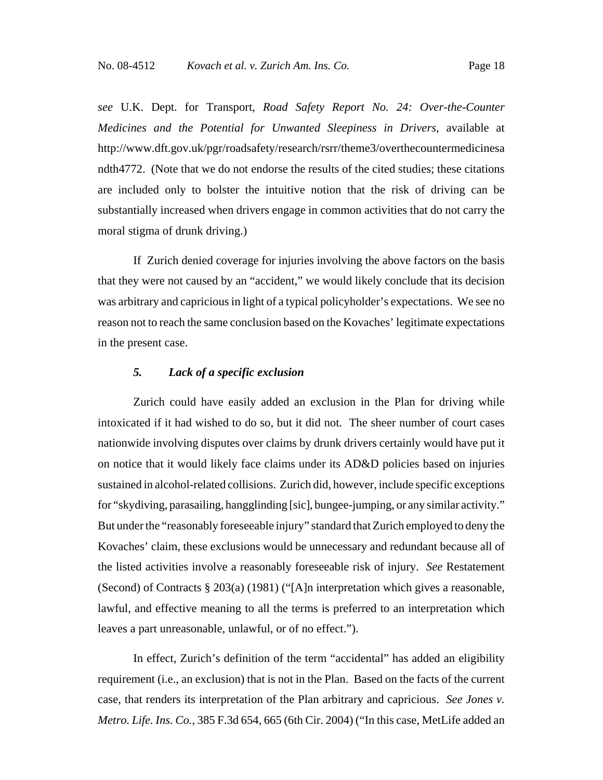*see* U.K. Dept. for Transport, *Road Safety Report No. 24: Over-the-Counter Medicines and the Potential for Unwanted Sleepiness in Drivers*, available at http://www.dft.gov.uk/pgr/roadsafety/research/rsrr/theme3/overthecountermedicinesa ndth4772. (Note that we do not endorse the results of the cited studies; these citations are included only to bolster the intuitive notion that the risk of driving can be substantially increased when drivers engage in common activities that do not carry the moral stigma of drunk driving.)

If Zurich denied coverage for injuries involving the above factors on the basis that they were not caused by an "accident," we would likely conclude that its decision was arbitrary and capricious in light of a typical policyholder's expectations. We see no reason not to reach the same conclusion based on the Kovaches' legitimate expectations in the present case.

#### *5. Lack of a specific exclusion*

Zurich could have easily added an exclusion in the Plan for driving while intoxicated if it had wished to do so, but it did not. The sheer number of court cases nationwide involving disputes over claims by drunk drivers certainly would have put it on notice that it would likely face claims under its AD&D policies based on injuries sustained in alcohol-related collisions. Zurich did, however, include specific exceptions for "skydiving, parasailing, hangglinding [sic], bungee-jumping, or any similar activity." But under the "reasonably foreseeable injury" standard that Zurich employed to deny the Kovaches' claim, these exclusions would be unnecessary and redundant because all of the listed activities involve a reasonably foreseeable risk of injury. *See* Restatement (Second) of Contracts § 203(a) (1981) ("[A]n interpretation which gives a reasonable, lawful, and effective meaning to all the terms is preferred to an interpretation which leaves a part unreasonable, unlawful, or of no effect.").

In effect, Zurich's definition of the term "accidental" has added an eligibility requirement (i.e., an exclusion) that is not in the Plan. Based on the facts of the current case, that renders its interpretation of the Plan arbitrary and capricious. *See Jones v. Metro. Life. Ins. Co.*, 385 F.3d 654, 665 (6th Cir. 2004) ("In this case, MetLife added an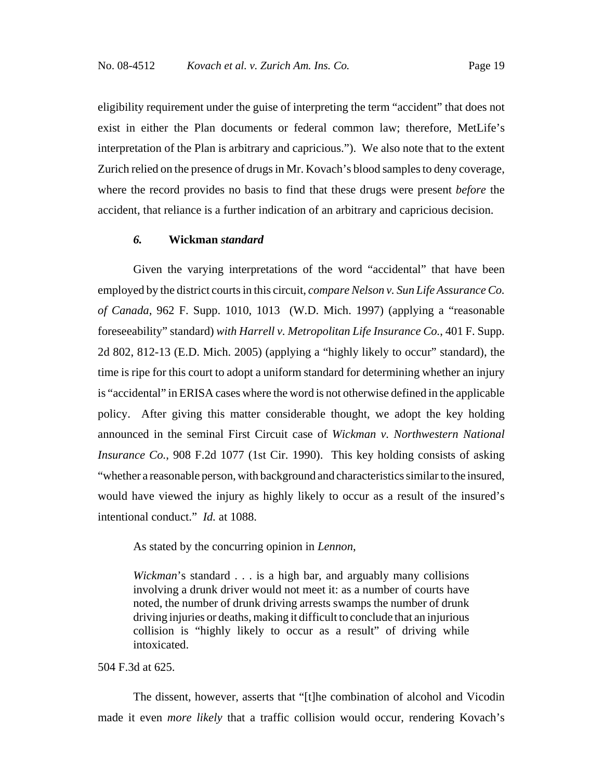eligibility requirement under the guise of interpreting the term "accident" that does not exist in either the Plan documents or federal common law; therefore, MetLife's interpretation of the Plan is arbitrary and capricious."). We also note that to the extent Zurich relied on the presence of drugs in Mr. Kovach's blood samples to deny coverage, where the record provides no basis to find that these drugs were present *before* the accident, that reliance is a further indication of an arbitrary and capricious decision.

# *6.* **Wickman** *standard*

Given the varying interpretations of the word "accidental" that have been employed by the district courts in this circuit, *compare Nelson v. Sun Life Assurance Co. of Canada*, 962 F. Supp. 1010, 1013 (W.D. Mich. 1997) (applying a "reasonable foreseeability" standard) *with Harrell v. Metropolitan Life Insurance Co.*, 401 F. Supp. 2d 802, 812-13 (E.D. Mich. 2005) (applying a "highly likely to occur" standard), the time is ripe for this court to adopt a uniform standard for determining whether an injury is "accidental" in ERISA cases where the word is not otherwise defined in the applicable policy. After giving this matter considerable thought, we adopt the key holding announced in the seminal First Circuit case of *Wickman v. Northwestern National Insurance Co.*, 908 F.2d 1077 (1st Cir. 1990). This key holding consists of asking "whether a reasonable person, with background and characteristics similar to the insured, would have viewed the injury as highly likely to occur as a result of the insured's intentional conduct." *Id.* at 1088.

As stated by the concurring opinion in *Lennon*,

*Wickman*'s standard . . . is a high bar, and arguably many collisions involving a drunk driver would not meet it: as a number of courts have noted, the number of drunk driving arrests swamps the number of drunk driving injuries or deaths, making it difficult to conclude that an injurious collision is "highly likely to occur as a result" of driving while intoxicated.

#### 504 F.3d at 625.

The dissent, however, asserts that "[t]he combination of alcohol and Vicodin made it even *more likely* that a traffic collision would occur, rendering Kovach's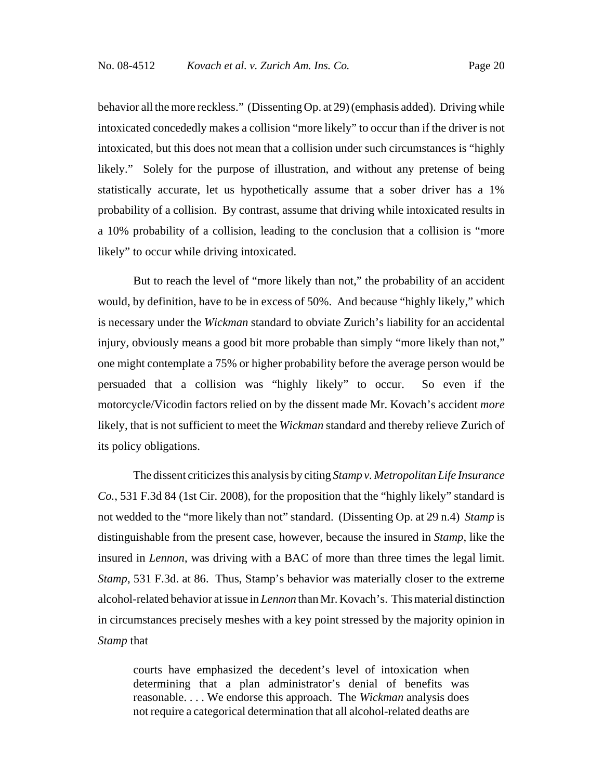behavior all the more reckless." (Dissenting Op. at 29) (emphasis added). Driving while intoxicated concededly makes a collision "more likely" to occur than if the driver is not intoxicated, but this does not mean that a collision under such circumstances is "highly likely." Solely for the purpose of illustration, and without any pretense of being statistically accurate, let us hypothetically assume that a sober driver has a 1% probability of a collision. By contrast, assume that driving while intoxicated results in a 10% probability of a collision, leading to the conclusion that a collision is "more likely" to occur while driving intoxicated.

But to reach the level of "more likely than not," the probability of an accident would, by definition, have to be in excess of 50%. And because "highly likely," which is necessary under the *Wickman* standard to obviate Zurich's liability for an accidental injury, obviously means a good bit more probable than simply "more likely than not," one might contemplate a 75% or higher probability before the average person would be persuaded that a collision was "highly likely" to occur. So even if the motorcycle/Vicodin factors relied on by the dissent made Mr. Kovach's accident *more* likely, that is not sufficient to meet the *Wickman* standard and thereby relieve Zurich of its policy obligations.

The dissent criticizes this analysis by citing *Stamp v. Metropolitan Life Insurance Co.*, 531 F.3d 84 (1st Cir. 2008), for the proposition that the "highly likely" standard is not wedded to the "more likely than not" standard. (Dissenting Op. at 29 n.4) *Stamp* is distinguishable from the present case, however, because the insured in *Stamp*, like the insured in *Lennon*, was driving with a BAC of more than three times the legal limit. *Stamp*, 531 F.3d. at 86. Thus, Stamp's behavior was materially closer to the extreme alcohol-related behavior at issue in *Lennon* than Mr. Kovach's. This material distinction in circumstances precisely meshes with a key point stressed by the majority opinion in *Stamp* that

courts have emphasized the decedent's level of intoxication when determining that a plan administrator's denial of benefits was reasonable. . . . We endorse this approach. The *Wickman* analysis does not require a categorical determination that all alcohol-related deaths are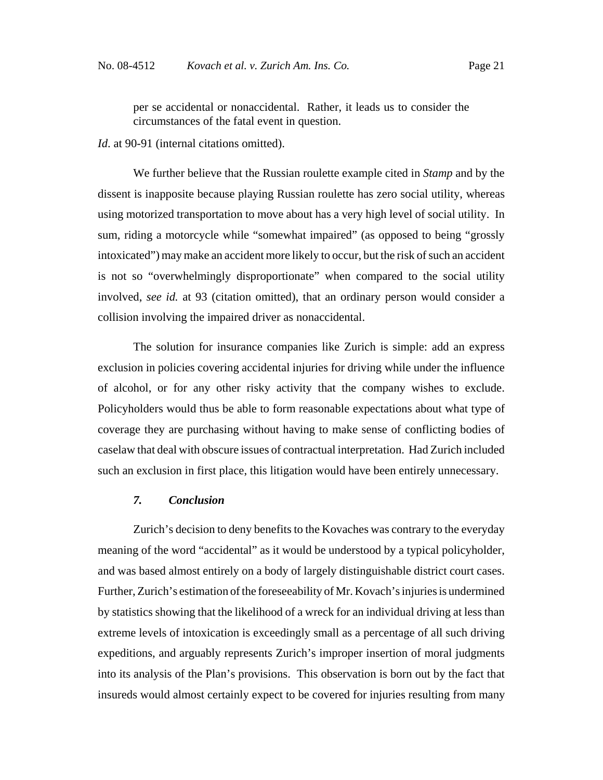per se accidental or nonaccidental. Rather, it leads us to consider the circumstances of the fatal event in question.

*Id*. at 90-91 (internal citations omitted).

We further believe that the Russian roulette example cited in *Stamp* and by the dissent is inapposite because playing Russian roulette has zero social utility, whereas using motorized transportation to move about has a very high level of social utility. In sum, riding a motorcycle while "somewhat impaired" (as opposed to being "grossly intoxicated") may make an accident more likely to occur, but the risk of such an accident is not so "overwhelmingly disproportionate" when compared to the social utility involved, *see id.* at 93 (citation omitted), that an ordinary person would consider a collision involving the impaired driver as nonaccidental.

The solution for insurance companies like Zurich is simple: add an express exclusion in policies covering accidental injuries for driving while under the influence of alcohol, or for any other risky activity that the company wishes to exclude. Policyholders would thus be able to form reasonable expectations about what type of coverage they are purchasing without having to make sense of conflicting bodies of caselaw that deal with obscure issues of contractual interpretation. Had Zurich included such an exclusion in first place, this litigation would have been entirely unnecessary.

# *7. Conclusion*

Zurich's decision to deny benefits to the Kovaches was contrary to the everyday meaning of the word "accidental" as it would be understood by a typical policyholder, and was based almost entirely on a body of largely distinguishable district court cases. Further, Zurich's estimation of the foreseeability of Mr. Kovach's injuries is undermined by statistics showing that the likelihood of a wreck for an individual driving at less than extreme levels of intoxication is exceedingly small as a percentage of all such driving expeditions, and arguably represents Zurich's improper insertion of moral judgments into its analysis of the Plan's provisions. This observation is born out by the fact that insureds would almost certainly expect to be covered for injuries resulting from many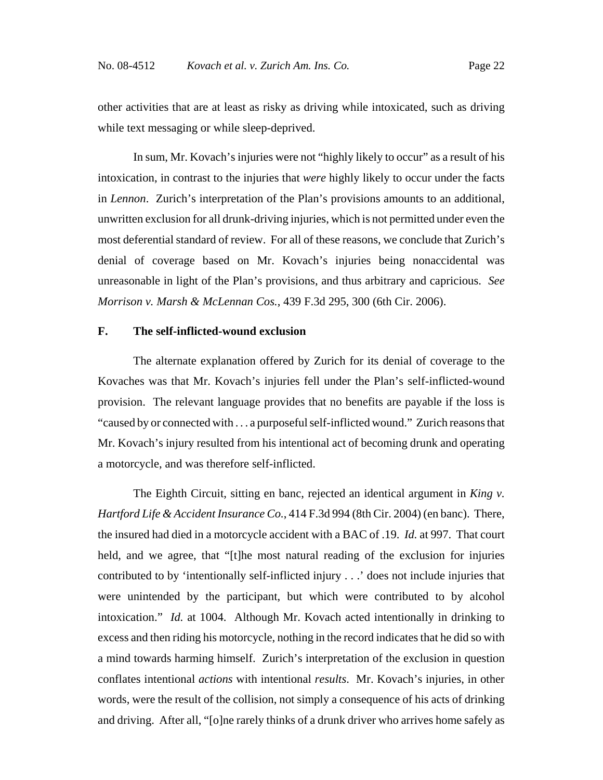other activities that are at least as risky as driving while intoxicated, such as driving while text messaging or while sleep-deprived.

In sum, Mr. Kovach's injuries were not "highly likely to occur" as a result of his intoxication, in contrast to the injuries that *were* highly likely to occur under the facts in *Lennon*. Zurich's interpretation of the Plan's provisions amounts to an additional, unwritten exclusion for all drunk-driving injuries, which is not permitted under even the most deferential standard of review. For all of these reasons, we conclude that Zurich's denial of coverage based on Mr. Kovach's injuries being nonaccidental was unreasonable in light of the Plan's provisions, and thus arbitrary and capricious. *See Morrison v. Marsh & McLennan Cos.*, 439 F.3d 295, 300 (6th Cir. 2006).

# **F. The self-inflicted-wound exclusion**

The alternate explanation offered by Zurich for its denial of coverage to the Kovaches was that Mr. Kovach's injuries fell under the Plan's self-inflicted-wound provision. The relevant language provides that no benefits are payable if the loss is "caused by or connected with . . . a purposeful self-inflicted wound." Zurich reasons that Mr. Kovach's injury resulted from his intentional act of becoming drunk and operating a motorcycle, and was therefore self-inflicted.

The Eighth Circuit, sitting en banc, rejected an identical argument in *King v. Hartford Life & Accident Insurance Co.*, 414 F.3d 994 (8th Cir. 2004) (en banc). There, the insured had died in a motorcycle accident with a BAC of .19. *Id.* at 997. That court held, and we agree, that "[t]he most natural reading of the exclusion for injuries contributed to by 'intentionally self-inflicted injury . . .' does not include injuries that were unintended by the participant, but which were contributed to by alcohol intoxication." *Id.* at 1004. Although Mr. Kovach acted intentionally in drinking to excess and then riding his motorcycle, nothing in the record indicates that he did so with a mind towards harming himself. Zurich's interpretation of the exclusion in question conflates intentional *actions* with intentional *results*. Mr. Kovach's injuries, in other words, were the result of the collision, not simply a consequence of his acts of drinking and driving. After all, "[o]ne rarely thinks of a drunk driver who arrives home safely as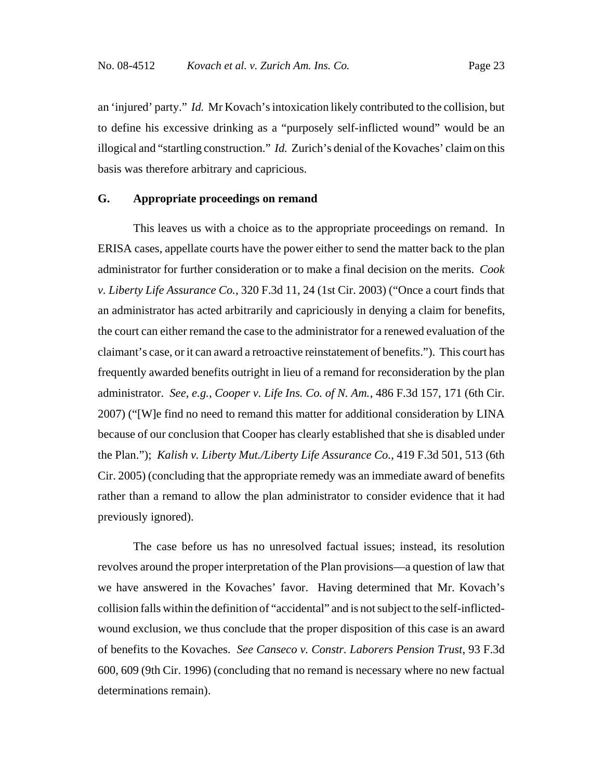an 'injured' party." *Id.* Mr Kovach's intoxication likely contributed to the collision, but to define his excessive drinking as a "purposely self-inflicted wound" would be an illogical and "startling construction." *Id.* Zurich's denial of the Kovaches' claim on this basis was therefore arbitrary and capricious.

#### **G. Appropriate proceedings on remand**

This leaves us with a choice as to the appropriate proceedings on remand. In ERISA cases, appellate courts have the power either to send the matter back to the plan administrator for further consideration or to make a final decision on the merits. *Cook v. Liberty Life Assurance Co.*, 320 F.3d 11, 24 (1st Cir. 2003) ("Once a court finds that an administrator has acted arbitrarily and capriciously in denying a claim for benefits, the court can either remand the case to the administrator for a renewed evaluation of the claimant's case, or it can award a retroactive reinstatement of benefits."). This court has frequently awarded benefits outright in lieu of a remand for reconsideration by the plan administrator. *See, e.g.*, *Cooper v. Life Ins. Co. of N. Am.*, 486 F.3d 157, 171 (6th Cir. 2007) ("[W]e find no need to remand this matter for additional consideration by LINA because of our conclusion that Cooper has clearly established that she is disabled under the Plan."); *Kalish v. Liberty Mut./Liberty Life Assurance Co.*, 419 F.3d 501, 513 (6th Cir. 2005) (concluding that the appropriate remedy was an immediate award of benefits rather than a remand to allow the plan administrator to consider evidence that it had previously ignored).

The case before us has no unresolved factual issues; instead, its resolution revolves around the proper interpretation of the Plan provisions—a question of law that we have answered in the Kovaches' favor. Having determined that Mr. Kovach's collision falls within the definition of "accidental" and is not subject to the self-inflictedwound exclusion, we thus conclude that the proper disposition of this case is an award of benefits to the Kovaches. *See Canseco v. Constr. Laborers Pension Trust*, 93 F.3d 600, 609 (9th Cir. 1996) (concluding that no remand is necessary where no new factual determinations remain).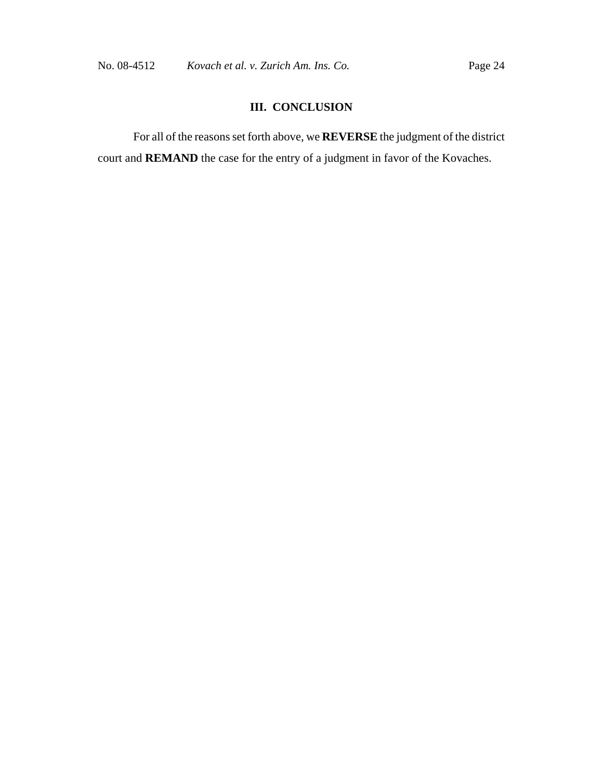# **III. CONCLUSION**

For all of the reasons set forth above, we **REVERSE** the judgment of the district court and **REMAND** the case for the entry of a judgment in favor of the Kovaches.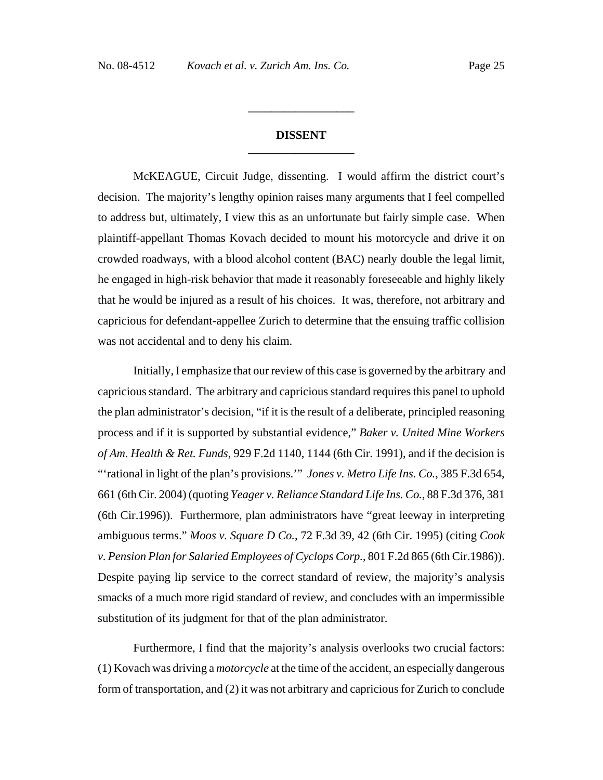# **DISSENT \_\_\_\_\_\_\_\_\_\_\_\_\_\_\_\_\_\_**

**\_\_\_\_\_\_\_\_\_\_\_\_\_\_\_\_\_\_**

McKEAGUE, Circuit Judge, dissenting. I would affirm the district court's decision. The majority's lengthy opinion raises many arguments that I feel compelled to address but, ultimately, I view this as an unfortunate but fairly simple case. When plaintiff-appellant Thomas Kovach decided to mount his motorcycle and drive it on crowded roadways, with a blood alcohol content (BAC) nearly double the legal limit, he engaged in high-risk behavior that made it reasonably foreseeable and highly likely that he would be injured as a result of his choices. It was, therefore, not arbitrary and capricious for defendant-appellee Zurich to determine that the ensuing traffic collision was not accidental and to deny his claim.

 Initially, I emphasize that our review of this case is governed by the arbitrary and capricious standard. The arbitrary and capricious standard requires this panel to uphold the plan administrator's decision, "if it is the result of a deliberate, principled reasoning process and if it is supported by substantial evidence," *Baker v. United Mine Workers of Am. Health & Ret. Funds*, 929 F.2d 1140, 1144 (6th Cir. 1991), and if the decision is "'rational in light of the plan's provisions.'" *Jones v. Metro Life Ins. Co.*, 385 F.3d 654, 661 (6th Cir. 2004) (quoting *Yeager v. Reliance Standard Life Ins. Co.*, 88 F.3d 376, 381 (6th Cir.1996)). Furthermore, plan administrators have "great leeway in interpreting ambiguous terms." *Moos v. Square D Co.*, 72 F.3d 39, 42 (6th Cir. 1995) (citing *Cook v. Pension Plan for Salaried Employees of Cyclops Corp.*, 801 F.2d 865 (6th Cir.1986)). Despite paying lip service to the correct standard of review, the majority's analysis smacks of a much more rigid standard of review, and concludes with an impermissible substitution of its judgment for that of the plan administrator.

 Furthermore, I find that the majority's analysis overlooks two crucial factors: (1) Kovach was driving a *motorcycle* at the time of the accident, an especially dangerous form of transportation, and (2) it was not arbitrary and capricious for Zurich to conclude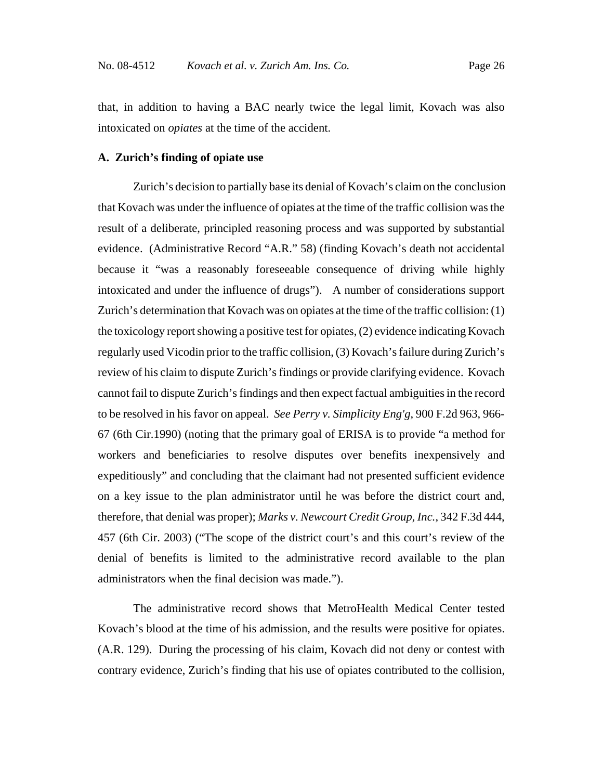that, in addition to having a BAC nearly twice the legal limit, Kovach was also intoxicated on *opiates* at the time of the accident.

# **A. Zurich's finding of opiate use**

 Zurich's decision to partially base its denial of Kovach's claim on the conclusion that Kovach was under the influence of opiates at the time of the traffic collision was the result of a deliberate, principled reasoning process and was supported by substantial evidence. (Administrative Record "A.R." 58) (finding Kovach's death not accidental because it "was a reasonably foreseeable consequence of driving while highly intoxicated and under the influence of drugs"). A number of considerations support Zurich's determination that Kovach was on opiates at the time of the traffic collision: (1) the toxicology report showing a positive test for opiates, (2) evidence indicating Kovach regularly used Vicodin prior to the traffic collision, (3) Kovach's failure during Zurich's review of his claim to dispute Zurich's findings or provide clarifying evidence. Kovach cannot fail to dispute Zurich's findings and then expect factual ambiguities in the record to be resolved in his favor on appeal. *See Perry v. Simplicity Eng'g*, 900 F.2d 963, 966- 67 (6th Cir.1990) (noting that the primary goal of ERISA is to provide "a method for workers and beneficiaries to resolve disputes over benefits inexpensively and expeditiously" and concluding that the claimant had not presented sufficient evidence on a key issue to the plan administrator until he was before the district court and, therefore, that denial was proper); *Marks v. Newcourt Credit Group, Inc.*, 342 F.3d 444, 457 (6th Cir. 2003) ("The scope of the district court's and this court's review of the denial of benefits is limited to the administrative record available to the plan administrators when the final decision was made.").

The administrative record shows that MetroHealth Medical Center tested Kovach's blood at the time of his admission, and the results were positive for opiates. (A.R. 129). During the processing of his claim, Kovach did not deny or contest with contrary evidence, Zurich's finding that his use of opiates contributed to the collision,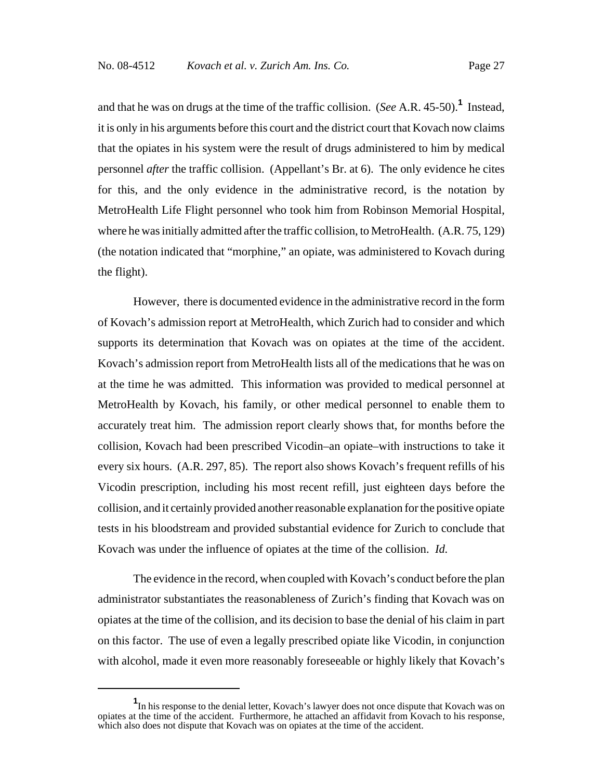and that he was on drugs at the time of the traffic collision. (*See* A.R. 45-50).**<sup>1</sup>** Instead, it is only in his arguments before this court and the district court that Kovach now claims that the opiates in his system were the result of drugs administered to him by medical personnel *after* the traffic collision. (Appellant's Br. at 6). The only evidence he cites for this, and the only evidence in the administrative record, is the notation by MetroHealth Life Flight personnel who took him from Robinson Memorial Hospital, where he was initially admitted after the traffic collision, to MetroHealth. (A.R. 75, 129) (the notation indicated that "morphine," an opiate, was administered to Kovach during the flight).

However, there is documented evidence in the administrative record in the form of Kovach's admission report at MetroHealth, which Zurich had to consider and which supports its determination that Kovach was on opiates at the time of the accident. Kovach's admission report from MetroHealth lists all of the medications that he was on at the time he was admitted. This information was provided to medical personnel at MetroHealth by Kovach, his family, or other medical personnel to enable them to accurately treat him. The admission report clearly shows that, for months before the collision, Kovach had been prescribed Vicodin–an opiate–with instructions to take it every six hours. (A.R. 297, 85). The report also shows Kovach's frequent refills of his Vicodin prescription, including his most recent refill, just eighteen days before the collision, and it certainly provided another reasonable explanation for the positive opiate tests in his bloodstream and provided substantial evidence for Zurich to conclude that Kovach was under the influence of opiates at the time of the collision. *Id.*

The evidence in the record, when coupled with Kovach's conduct before the plan administrator substantiates the reasonableness of Zurich's finding that Kovach was on opiates at the time of the collision, and its decision to base the denial of his claim in part on this factor. The use of even a legally prescribed opiate like Vicodin, in conjunction with alcohol, made it even more reasonably foreseeable or highly likely that Kovach's

**<sup>1</sup>** In his response to the denial letter, Kovach's lawyer does not once dispute that Kovach was on opiates at the time of the accident. Furthermore, he attached an affidavit from Kovach to his response, which also does not dispute that Kovach was on opiates at the time of the accident.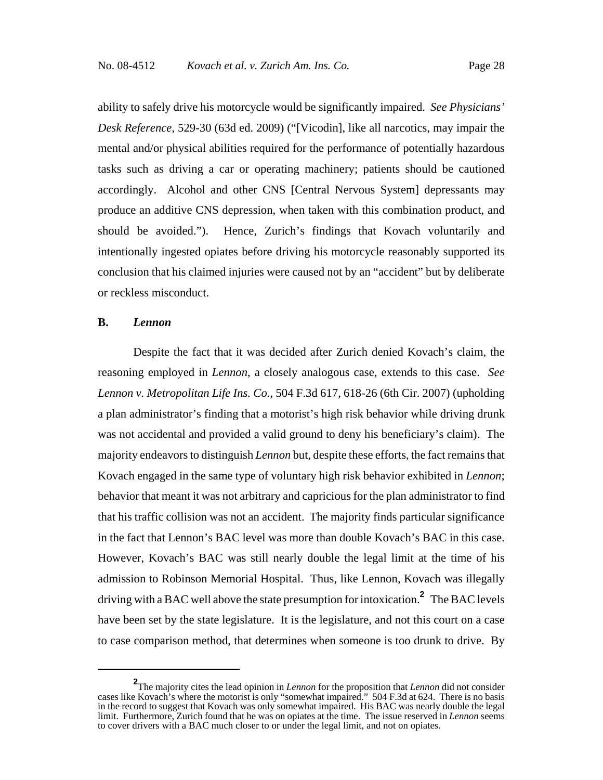ability to safely drive his motorcycle would be significantly impaired. *See Physicians' Desk Reference*, 529-30 (63d ed. 2009) ("[Vicodin], like all narcotics, may impair the mental and/or physical abilities required for the performance of potentially hazardous tasks such as driving a car or operating machinery; patients should be cautioned accordingly. Alcohol and other CNS [Central Nervous System] depressants may produce an additive CNS depression, when taken with this combination product, and should be avoided."). Hence, Zurich's findings that Kovach voluntarily and intentionally ingested opiates before driving his motorcycle reasonably supported its conclusion that his claimed injuries were caused not by an "accident" but by deliberate or reckless misconduct.

#### **B.** *Lennon*

Despite the fact that it was decided after Zurich denied Kovach's claim, the reasoning employed in *Lennon*, a closely analogous case, extends to this case. *See Lennon v. Metropolitan Life Ins. Co.*, 504 F.3d 617, 618-26 (6th Cir. 2007) (upholding a plan administrator's finding that a motorist's high risk behavior while driving drunk was not accidental and provided a valid ground to deny his beneficiary's claim). The majority endeavors to distinguish *Lennon* but, despite these efforts, the fact remains that Kovach engaged in the same type of voluntary high risk behavior exhibited in *Lennon*; behavior that meant it was not arbitrary and capricious for the plan administrator to find that his traffic collision was not an accident. The majority finds particular significance in the fact that Lennon's BAC level was more than double Kovach's BAC in this case. However, Kovach's BAC was still nearly double the legal limit at the time of his admission to Robinson Memorial Hospital. Thus, like Lennon, Kovach was illegally driving with a BAC well above the state presumption for intoxication.**<sup>2</sup>** The BAC levels have been set by the state legislature. It is the legislature, and not this court on a case to case comparison method, that determines when someone is too drunk to drive. By

**<sup>2</sup>** The majority cites the lead opinion in *Lennon* for the proposition that *Lennon* did not consider cases like Kovach's where the motorist is only "somewhat impaired." 504 F.3d at 624. There is no basis in the record to suggest that Kovach was only somewhat impaired. His BAC was nearly double the legal limit. Furthermore, Zurich found that he was on opiates at the time. The issue reserved in *Lennon* seems to cover drivers with a BAC much closer to or under the legal limit, and not on opiates.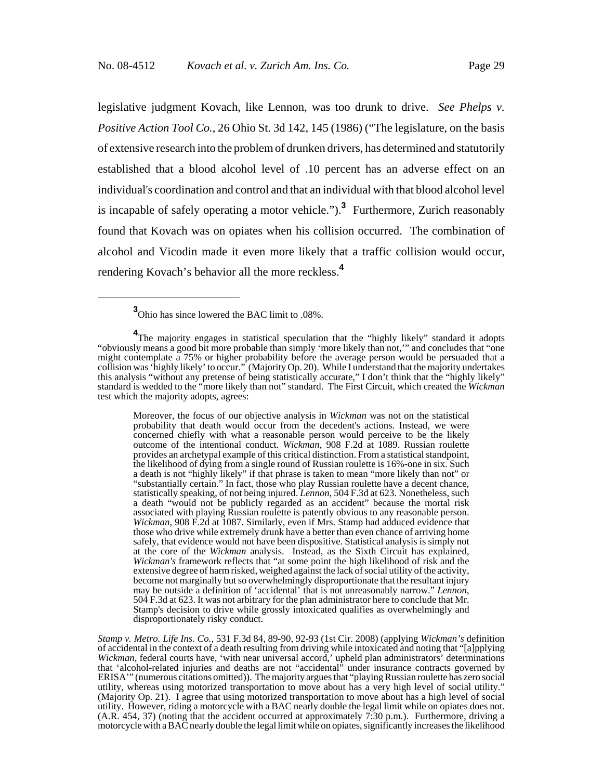legislative judgment Kovach, like Lennon, was too drunk to drive. *See Phelps v. Positive Action Tool Co.*, 26 Ohio St. 3d 142, 145 (1986) ("The legislature, on the basis of extensive research into the problem of drunken drivers, has determined and statutorily established that a blood alcohol level of .10 percent has an adverse effect on an individual's coordination and control and that an individual with that blood alcohol level is incapable of safely operating a motor vehicle.").**<sup>3</sup>** Furthermore, Zurich reasonably found that Kovach was on opiates when his collision occurred. The combination of alcohol and Vicodin made it even more likely that a traffic collision would occur, rendering Kovach's behavior all the more reckless.**<sup>4</sup>**

**3** Ohio has since lowered the BAC limit to .08%.

Moreover, the focus of our objective analysis in *Wickman* was not on the statistical probability that death would occur from the decedent's actions. Instead, we were concerned chiefly with what a reasonable person would perceive to be the likely outcome of the intentional conduct. *Wickman*, 908 F.2d at 1089. Russian roulette provides an archetypal example of this critical distinction. From a statistical standpoint, the likelihood of dying from a single round of Russian roulette is 16%-one in six. Such a death is not "highly likely" if that phrase is taken to mean "more likely than not" or "substantially certain." In fact, those who play Russian roulette have a decent chance, statistically speaking, of not being injured. *Lennon*, 504 F.3d at 623. Nonetheless, such a death "would not be publicly regarded as an accident" because the mortal risk associated with playing Russian roulette is patently obvious to any reasonable person. *Wickman*, 908 F.2d at 1087. Similarly, even if Mrs. Stamp had adduced evidence that those who drive while extremely drunk have a better than even chance of arriving home safely, that evidence would not have been dispositive. Statistical analysis is simply not at the core of the *Wickman* analysis. Instead, as the Sixth Circuit has explained, *Wickman's* framework reflects that "at some point the high likelihood of risk and the extensive degree of harm risked, weighed against the lack of social utility of the activity, become not marginally but so overwhelmingly disproportionate that the resultant injury may be outside a definition of 'accidental' that is not unreasonably narrow." Lennon, 504 F.3d at 623. It was not arbitrary for the plan administrator here to conclude that Mr. Stamp's decision to drive while grossly intoxicated qualifies as overwhelmingly and disproportionately risky conduct.

*Stamp v. Metro. Life Ins. Co.*, 531 F.3d 84, 89-90, 92-93 (1st Cir. 2008) (applying *Wickman's* definition of accidental in the context of a death resulting from driving while intoxicated and noting that "[a]pplying *Wickman*, federal courts have, 'with near universal accord,' upheld plan administrators' determinations that 'alcohol-related injuries and deaths are not "accidental" under insurance contracts governed by ERISA'" (numerous citations omitted)). The majority argues that "playing Russian roulette has zero social utility, whereas using motorized transportation to move about has a very high level of social utility." (Majority Op. 21). I agree that using motorized transportation to move about has a high level of social utility. However, riding a motorcycle with a BAC nearly double the legal limit while on opiates does not. (A.R. 454, 37) (noting that the accident occurred at approximately 7:30 p.m.). Furthermore, driving a motorcycle with a BAC nearly double the legal limit while on opiates, significantly increases the likelihood

**<sup>4</sup>** The majority engages in statistical speculation that the "highly likely" standard it adopts "obviously means a good bit more probable than simply 'more likely than not,'" and concludes that "one might contemplate a 75% or higher probability before the average person would be persuaded that a collision was 'highly likely' to occur." (Majority Op. 20). While I understand that the majority undertakes this analysis "without any pretense of being statistically accurate," I don't think that the "highly likely" standard is wedded to the "more likely than not" standard. The First Circuit, which created the *Wickman* test which the majority adopts, agrees: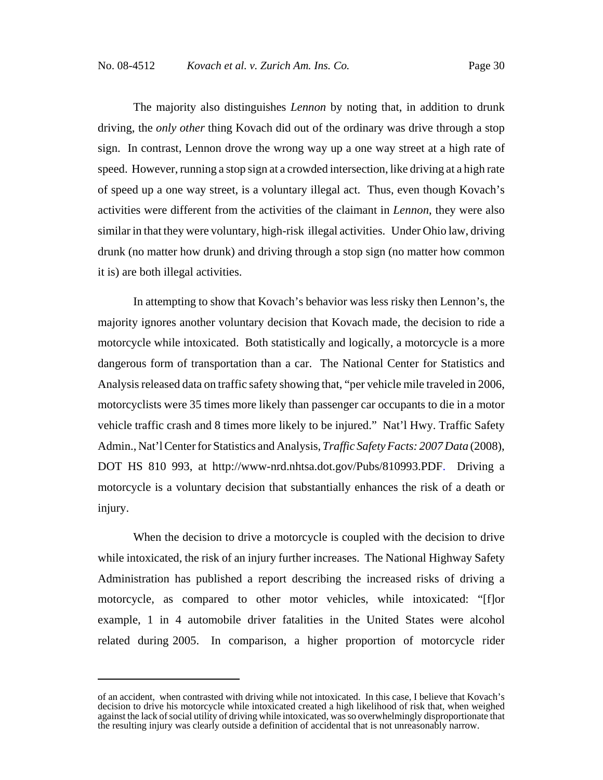The majority also distinguishes *Lennon* by noting that, in addition to drunk driving, the *only other* thing Kovach did out of the ordinary was drive through a stop sign. In contrast, Lennon drove the wrong way up a one way street at a high rate of speed. However, running a stop sign at a crowded intersection, like driving at a high rate of speed up a one way street, is a voluntary illegal act. Thus, even though Kovach's activities were different from the activities of the claimant in *Lennon*, they were also similar in that they were voluntary, high-risk illegal activities. Under Ohio law, driving drunk (no matter how drunk) and driving through a stop sign (no matter how common it is) are both illegal activities.

In attempting to show that Kovach's behavior was less risky then Lennon's, the majority ignores another voluntary decision that Kovach made, the decision to ride a motorcycle while intoxicated. Both statistically and logically, a motorcycle is a more dangerous form of transportation than a car. The National Center for Statistics and Analysis released data on traffic safety showing that, "per vehicle mile traveled in 2006, motorcyclists were 35 times more likely than passenger car occupants to die in a motor vehicle traffic crash and 8 times more likely to be injured." Nat'l Hwy. Traffic Safety Admin., Nat'l Center for Statistics and Analysis, *Traffic Safety Facts: 2007 Data* (2008), DOT HS 810 993, at http://www-nrd.nhtsa.dot.gov/Pubs/810993.PDF. Driving a motorcycle is a voluntary decision that substantially enhances the risk of a death or injury.

When the decision to drive a motorcycle is coupled with the decision to drive while intoxicated, the risk of an injury further increases. The National Highway Safety Administration has published a report describing the increased risks of driving a motorcycle, as compared to other motor vehicles, while intoxicated: "[f]or example, 1 in 4 automobile driver fatalities in the United States were alcohol related during 2005. In comparison, a higher proportion of motorcycle rider

of an accident, when contrasted with driving while not intoxicated. In this case, I believe that Kovach's decision to drive his motorcycle while intoxicated created a high likelihood of risk that, when weighed against the lack of social utility of driving while intoxicated, was so overwhelmingly disproportionate that the resulting injury was clearly outside a definition of accidental that is not unreasonably narrow.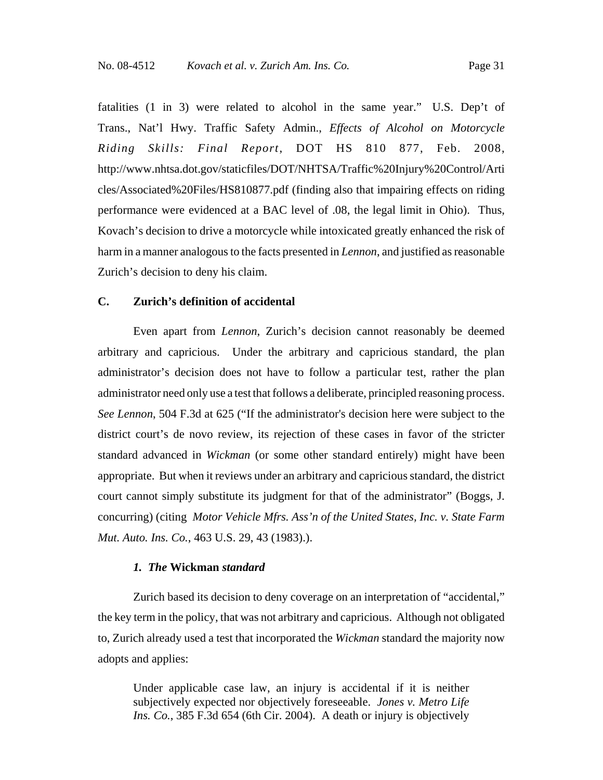fatalities (1 in 3) were related to alcohol in the same year." U.S. Dep't of Trans., Nat'l Hwy. Traffic Safety Admin., *Effects of Alcohol on Motorcycle Riding Skills: Final Report*, DOT HS 810 877, Feb. 2008, http://www.nhtsa.dot.gov/staticfiles/DOT/NHTSA/Traffic%20Injury%20Control/Arti cles/Associated%20Files/HS810877.pdf (finding also that impairing effects on riding performance were evidenced at a BAC level of .08, the legal limit in Ohio). Thus, Kovach's decision to drive a motorcycle while intoxicated greatly enhanced the risk of harm in a manner analogous to the facts presented in *Lennon*, and justified as reasonable Zurich's decision to deny his claim.

# **C. Zurich's definition of accidental**

Even apart from *Lennon*, Zurich's decision cannot reasonably be deemed arbitrary and capricious. Under the arbitrary and capricious standard, the plan administrator's decision does not have to follow a particular test, rather the plan administrator need only use a test that follows a deliberate, principled reasoning process. *See Lennon*, 504 F.3d at 625 ("If the administrator's decision here were subject to the district court's de novo review, its rejection of these cases in favor of the stricter standard advanced in *Wickman* (or some other standard entirely) might have been appropriate. But when it reviews under an arbitrary and capricious standard, the district court cannot simply substitute its judgment for that of the administrator" (Boggs, J. concurring) (citing *Motor Vehicle Mfrs. Ass'n of the United States, Inc. v. State Farm Mut. Auto. Ins. Co.*, 463 U.S. 29, 43 (1983).).

#### *1.**The* **Wickman** *standard*

Zurich based its decision to deny coverage on an interpretation of "accidental," the key term in the policy, that was not arbitrary and capricious. Although not obligated to, Zurich already used a test that incorporated the *Wickman* standard the majority now adopts and applies:

Under applicable case law, an injury is accidental if it is neither subjectively expected nor objectively foreseeable. *Jones v. Metro Life Ins. Co.*, 385 F.3d 654 (6th Cir. 2004). A death or injury is objectively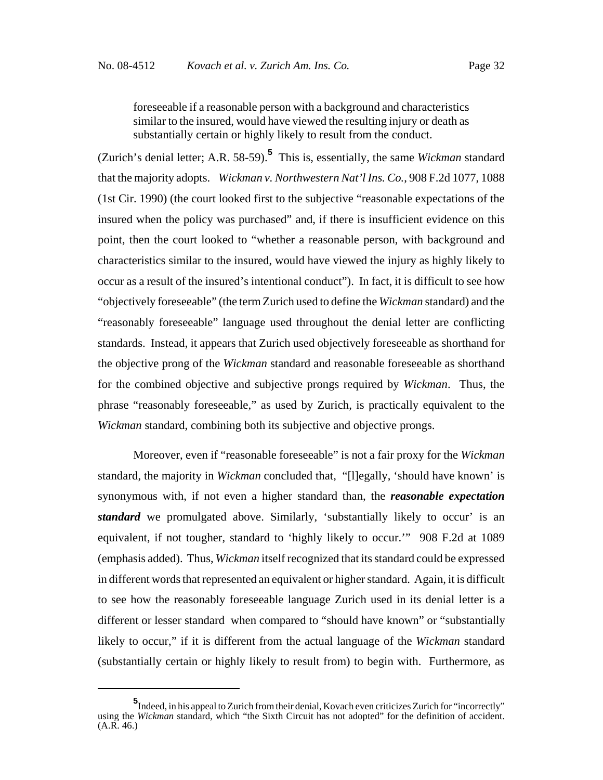foreseeable if a reasonable person with a background and characteristics similar to the insured, would have viewed the resulting injury or death as substantially certain or highly likely to result from the conduct.

(Zurich's denial letter; A.R. 58-59).**<sup>5</sup>** This is, essentially, the same *Wickman* standard that the majority adopts. *Wickman v. Northwestern Nat'l Ins. Co.*, 908 F.2d 1077, 1088 (1st Cir. 1990) (the court looked first to the subjective "reasonable expectations of the insured when the policy was purchased" and, if there is insufficient evidence on this point, then the court looked to "whether a reasonable person, with background and characteristics similar to the insured, would have viewed the injury as highly likely to occur as a result of the insured's intentional conduct"). In fact, it is difficult to see how "objectively foreseeable" (the term Zurich used to define the *Wickman* standard) and the "reasonably foreseeable" language used throughout the denial letter are conflicting standards. Instead, it appears that Zurich used objectively foreseeable as shorthand for the objective prong of the *Wickman* standard and reasonable foreseeable as shorthand for the combined objective and subjective prongs required by *Wickman*. Thus, the phrase "reasonably foreseeable," as used by Zurich, is practically equivalent to the *Wickman* standard, combining both its subjective and objective prongs.

Moreover, even if "reasonable foreseeable" is not a fair proxy for the *Wickman* standard, the majority in *Wickman* concluded that, "[l]egally, 'should have known' is synonymous with, if not even a higher standard than, the *reasonable expectation standard* we promulgated above. Similarly, 'substantially likely to occur' is an equivalent, if not tougher, standard to 'highly likely to occur.'" 908 F.2d at 1089 (emphasis added). Thus, *Wickman* itself recognized that its standard could be expressed in different words that represented an equivalent or higher standard. Again, it is difficult to see how the reasonably foreseeable language Zurich used in its denial letter is a different or lesser standard when compared to "should have known" or "substantially likely to occur," if it is different from the actual language of the *Wickman* standard (substantially certain or highly likely to result from) to begin with. Furthermore, as

**<sup>5</sup>** Indeed, in his appeal to Zurich from their denial, Kovach even criticizes Zurich for "incorrectly" using the *Wickman* standard, which "the Sixth Circuit has not adopted" for the definition of accident.  $(A.R. 46.)$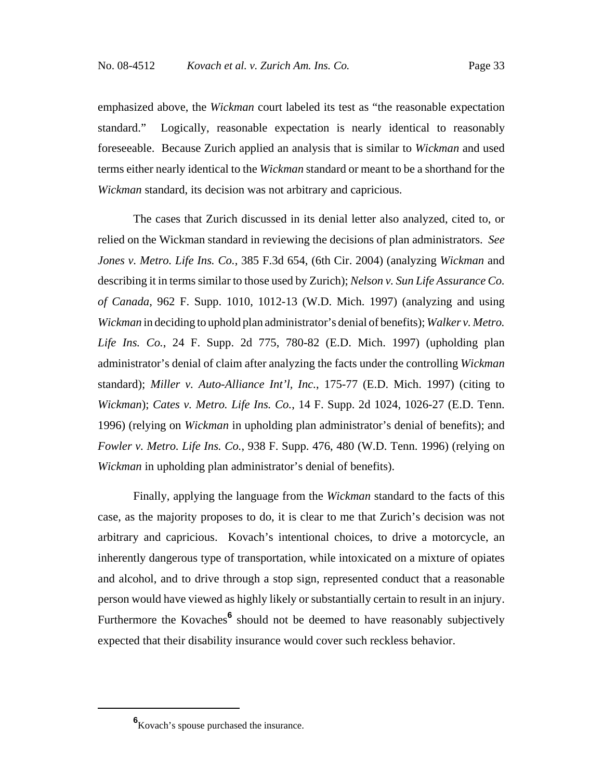emphasized above, the *Wickman* court labeled its test as "the reasonable expectation standard." Logically, reasonable expectation is nearly identical to reasonably foreseeable. Because Zurich applied an analysis that is similar to *Wickman* and used terms either nearly identical to the *Wickman* standard or meant to be a shorthand for the *Wickman* standard, its decision was not arbitrary and capricious.

The cases that Zurich discussed in its denial letter also analyzed, cited to, or relied on the Wickman standard in reviewing the decisions of plan administrators. *See Jones v. Metro. Life Ins. Co.*, 385 F.3d 654, (6th Cir. 2004) (analyzing *Wickman* and describing it in terms similar to those used by Zurich); *Nelson v. Sun Life Assurance Co. of Canada*, 962 F. Supp. 1010, 1012-13 (W.D. Mich. 1997) (analyzing and using *Wickman* in deciding to uphold plan administrator's denial of benefits); *Walker v. Metro. Life Ins. Co.*, 24 F. Supp. 2d 775, 780-82 (E.D. Mich. 1997) (upholding plan administrator's denial of claim after analyzing the facts under the controlling *Wickman* standard); *Miller v. Auto-Alliance Int'l, Inc.*, 175-77 (E.D. Mich. 1997) (citing to *Wickman*); *Cates v. Metro. Life Ins. Co.*, 14 F. Supp. 2d 1024, 1026-27 (E.D. Tenn. 1996) (relying on *Wickman* in upholding plan administrator's denial of benefits); and *Fowler v. Metro. Life Ins. Co.*, 938 F. Supp. 476, 480 (W.D. Tenn. 1996) (relying on *Wickman* in upholding plan administrator's denial of benefits).

Finally, applying the language from the *Wickman* standard to the facts of this case, as the majority proposes to do, it is clear to me that Zurich's decision was not arbitrary and capricious. Kovach's intentional choices, to drive a motorcycle, an inherently dangerous type of transportation, while intoxicated on a mixture of opiates and alcohol, and to drive through a stop sign, represented conduct that a reasonable person would have viewed as highly likely or substantially certain to result in an injury. Furthermore the Kovaches<sup>6</sup> should not be deemed to have reasonably subjectively expected that their disability insurance would cover such reckless behavior.

**<sup>6</sup>** Kovach's spouse purchased the insurance.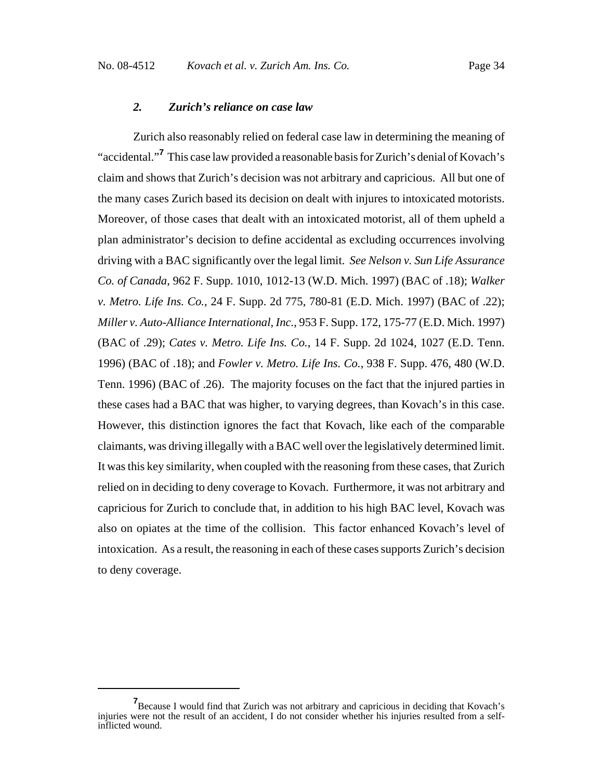#### *2. Zurich's reliance on case law*

Zurich also reasonably relied on federal case law in determining the meaning of "accidental."**<sup>7</sup>** This case law provided a reasonable basis for Zurich's denial of Kovach's claim and shows that Zurich's decision was not arbitrary and capricious. All but one of the many cases Zurich based its decision on dealt with injures to intoxicated motorists. Moreover, of those cases that dealt with an intoxicated motorist, all of them upheld a plan administrator's decision to define accidental as excluding occurrences involving driving with a BAC significantly over the legal limit. *See Nelson v. Sun Life Assurance Co. of Canada*, 962 F. Supp. 1010, 1012-13 (W.D. Mich. 1997) (BAC of .18); *Walker v. Metro. Life Ins. Co.*, 24 F. Supp. 2d 775, 780-81 (E.D. Mich. 1997) (BAC of .22); *Miller v. Auto-Alliance International, Inc.*, 953 F. Supp. 172, 175-77 (E.D. Mich. 1997) (BAC of .29); *Cates v. Metro. Life Ins. Co.*, 14 F. Supp. 2d 1024, 1027 (E.D. Tenn. 1996) (BAC of .18); and *Fowler v. Metro. Life Ins. Co.*, 938 F. Supp. 476, 480 (W.D. Tenn. 1996) (BAC of .26). The majority focuses on the fact that the injured parties in these cases had a BAC that was higher, to varying degrees, than Kovach's in this case. However, this distinction ignores the fact that Kovach, like each of the comparable claimants, was driving illegally with a BAC well over the legislatively determined limit. It was this key similarity, when coupled with the reasoning from these cases, that Zurich relied on in deciding to deny coverage to Kovach. Furthermore, it was not arbitrary and capricious for Zurich to conclude that, in addition to his high BAC level, Kovach was also on opiates at the time of the collision. This factor enhanced Kovach's level of intoxication. As a result, the reasoning in each of these cases supports Zurich's decision to deny coverage.

<sup>&</sup>lt;sup>7</sup> Because I would find that Zurich was not arbitrary and capricious in deciding that Kovach's injuries were not the result of an accident, I do not consider whether his injuries resulted from a selfinflicted wound.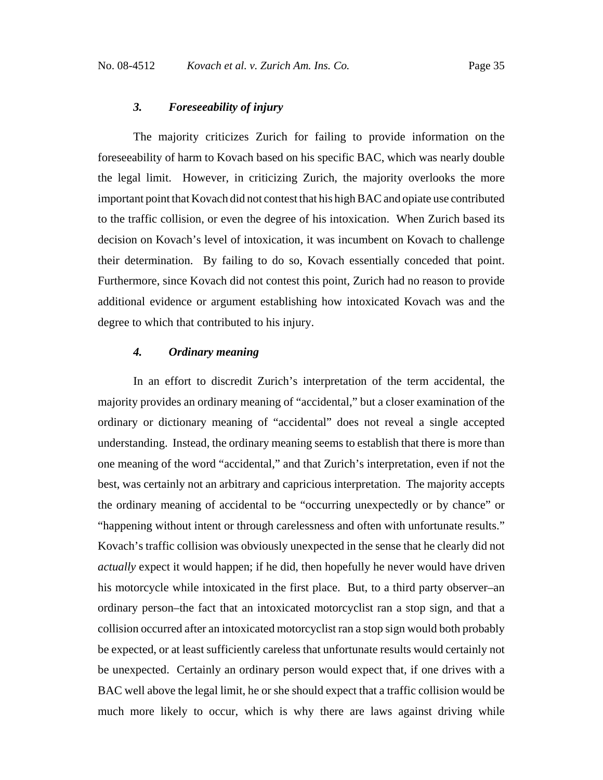#### *3. Foreseeability of injury*

 The majority criticizes Zurich for failing to provide information on the foreseeability of harm to Kovach based on his specific BAC, which was nearly double the legal limit. However, in criticizing Zurich, the majority overlooks the more important point that Kovach did not contest that his high BAC and opiate use contributed to the traffic collision, or even the degree of his intoxication. When Zurich based its decision on Kovach's level of intoxication, it was incumbent on Kovach to challenge their determination. By failing to do so, Kovach essentially conceded that point. Furthermore, since Kovach did not contest this point, Zurich had no reason to provide additional evidence or argument establishing how intoxicated Kovach was and the degree to which that contributed to his injury.

# *4. Ordinary meaning*

In an effort to discredit Zurich's interpretation of the term accidental, the majority provides an ordinary meaning of "accidental," but a closer examination of the ordinary or dictionary meaning of "accidental" does not reveal a single accepted understanding. Instead, the ordinary meaning seems to establish that there is more than one meaning of the word "accidental," and that Zurich's interpretation, even if not the best, was certainly not an arbitrary and capricious interpretation. The majority accepts the ordinary meaning of accidental to be "occurring unexpectedly or by chance" or "happening without intent or through carelessness and often with unfortunate results." Kovach's traffic collision was obviously unexpected in the sense that he clearly did not *actually* expect it would happen; if he did, then hopefully he never would have driven his motorcycle while intoxicated in the first place. But, to a third party observer–an ordinary person–the fact that an intoxicated motorcyclist ran a stop sign, and that a collision occurred after an intoxicated motorcyclist ran a stop sign would both probably be expected, or at least sufficiently careless that unfortunate results would certainly not be unexpected. Certainly an ordinary person would expect that, if one drives with a BAC well above the legal limit, he or she should expect that a traffic collision would be much more likely to occur, which is why there are laws against driving while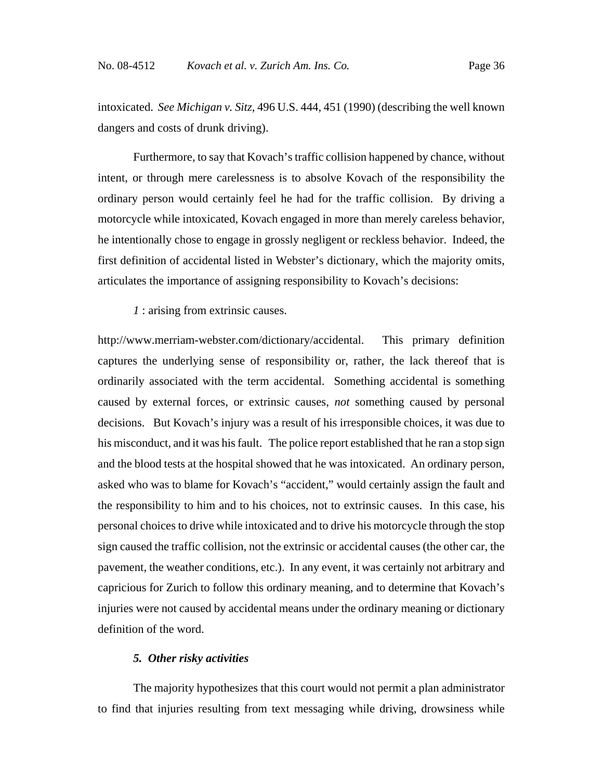intoxicated. *See Michigan v. Sitz*, 496 U.S. 444, 451 (1990) (describing the well known dangers and costs of drunk driving).

Furthermore, to say that Kovach's traffic collision happened by chance, without intent, or through mere carelessness is to absolve Kovach of the responsibility the ordinary person would certainly feel he had for the traffic collision. By driving a motorcycle while intoxicated, Kovach engaged in more than merely careless behavior, he intentionally chose to engage in grossly negligent or reckless behavior. Indeed, the first definition of accidental listed in Webster's dictionary, which the majority omits, articulates the importance of assigning responsibility to Kovach's decisions:

*1* : arising from extrinsic causes.

http://www.merriam-webster.com/dictionary/accidental. This primary definition captures the underlying sense of responsibility or, rather, the lack thereof that is ordinarily associated with the term accidental. Something accidental is something caused by external forces, or extrinsic causes, *not* something caused by personal decisions. But Kovach's injury was a result of his irresponsible choices, it was due to his misconduct, and it was his fault. The police report established that he ran a stop sign and the blood tests at the hospital showed that he was intoxicated.An ordinary person, asked who was to blame for Kovach's "accident," would certainly assign the fault and the responsibility to him and to his choices, not to extrinsic causes. In this case, his personal choices to drive while intoxicated and to drive his motorcycle through the stop sign caused the traffic collision, not the extrinsic or accidental causes (the other car, the pavement, the weather conditions, etc.). In any event, it was certainly not arbitrary and capricious for Zurich to follow this ordinary meaning, and to determine that Kovach's injuries were not caused by accidental means under the ordinary meaning or dictionary definition of the word.

# *5. Other risky activities*

The majority hypothesizes that this court would not permit a plan administrator to find that injuries resulting from text messaging while driving, drowsiness while